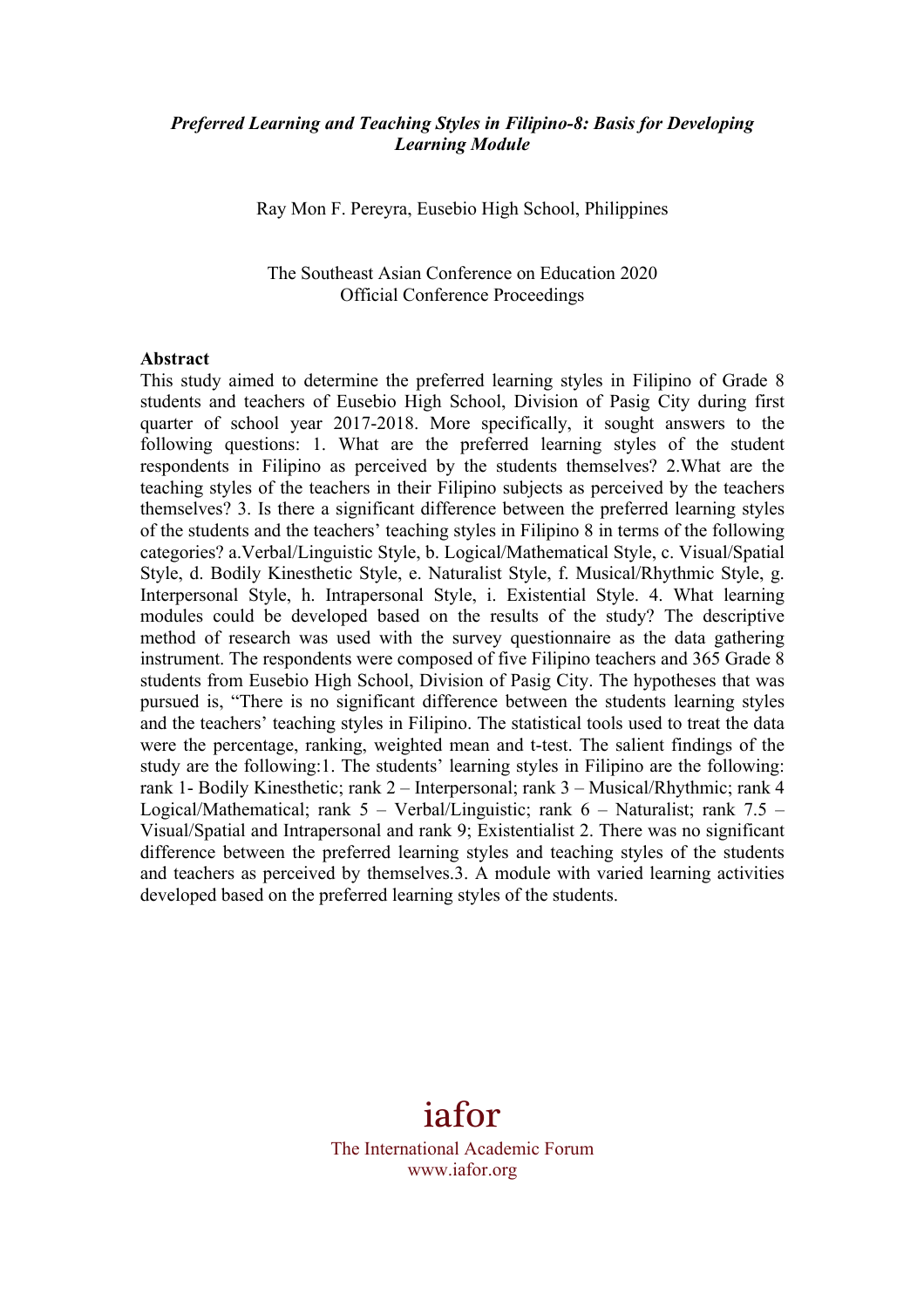#### *Preferred Learning and Teaching Styles in Filipino-8: Basis for Developing Learning Module*

Ray Mon F. Pereyra, Eusebio High School, Philippines

The Southeast Asian Conference on Education 2020 Official Conference Proceedings

#### **Abstract**

This study aimed to determine the preferred learning styles in Filipino of Grade 8 students and teachers of Eusebio High School, Division of Pasig City during first quarter of school year 2017-2018. More specifically, it sought answers to the following questions: 1. What are the preferred learning styles of the student respondents in Filipino as perceived by the students themselves? 2.What are the teaching styles of the teachers in their Filipino subjects as perceived by the teachers themselves? 3. Is there a significant difference between the preferred learning styles of the students and the teachers' teaching styles in Filipino 8 in terms of the following categories? a.Verbal/Linguistic Style, b. Logical/Mathematical Style, c. Visual/Spatial Style, d. Bodily Kinesthetic Style, e. Naturalist Style, f. Musical/Rhythmic Style, g. Interpersonal Style, h. Intrapersonal Style, i. Existential Style. 4. What learning modules could be developed based on the results of the study? The descriptive method of research was used with the survey questionnaire as the data gathering instrument. The respondents were composed of five Filipino teachers and 365 Grade 8 students from Eusebio High School, Division of Pasig City. The hypotheses that was pursued is, "There is no significant difference between the students learning styles and the teachers' teaching styles in Filipino. The statistical tools used to treat the data were the percentage, ranking, weighted mean and t-test. The salient findings of the study are the following:1. The students' learning styles in Filipino are the following: rank 1- Bodily Kinesthetic; rank 2 – Interpersonal; rank 3 – Musical/Rhythmic; rank 4 Logical/Mathematical; rank  $5 - \text{Verbal/Linguistic}$ ; rank  $6 - \text{Naturalist}$ ; rank  $7.5 -$ Visual/Spatial and Intrapersonal and rank 9; Existentialist 2. There was no significant difference between the preferred learning styles and teaching styles of the students and teachers as perceived by themselves.3. A module with varied learning activities developed based on the preferred learning styles of the students.

# iafor

The International Academic Forum www.iafor.org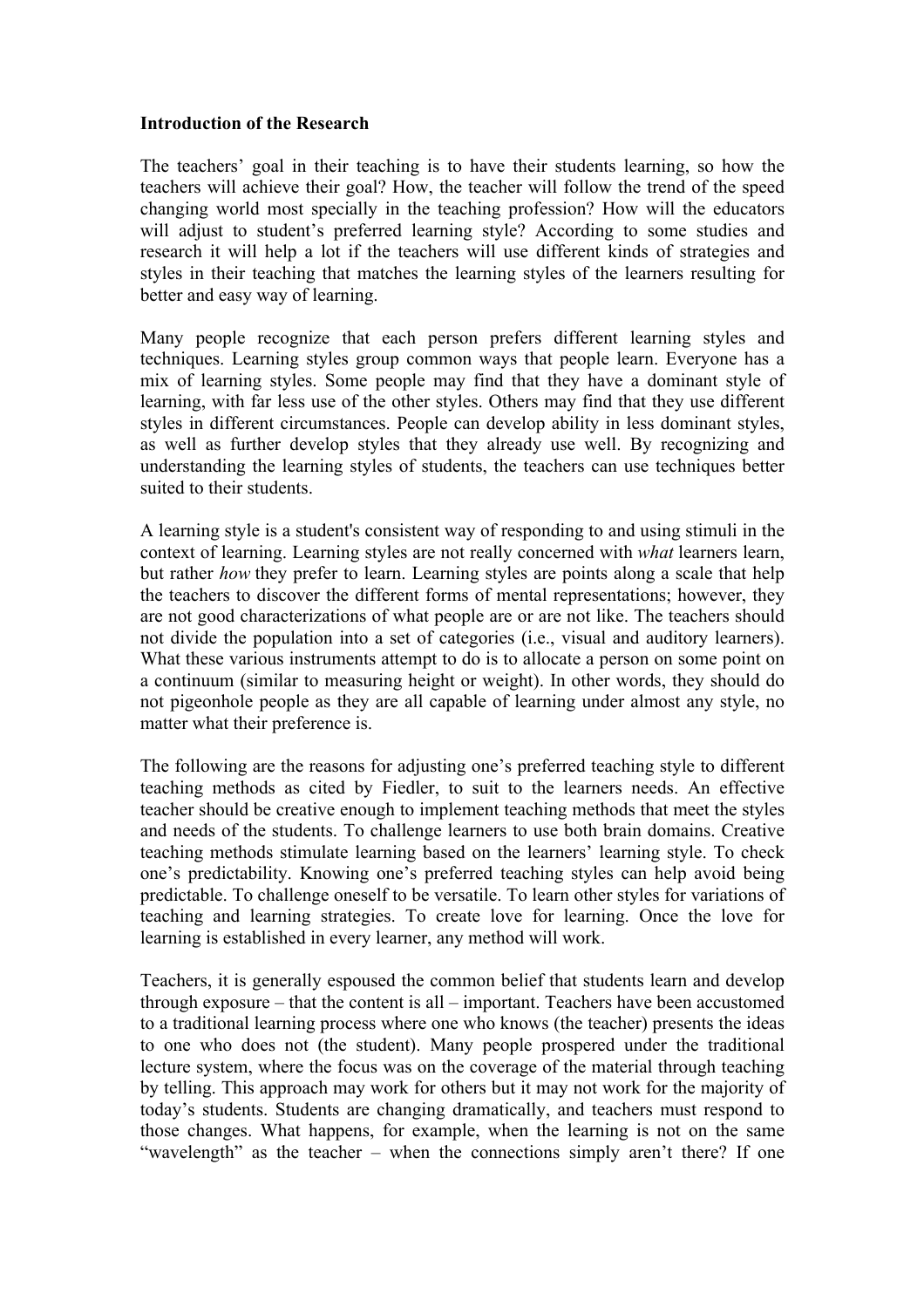#### **Introduction of the Research**

The teachers' goal in their teaching is to have their students learning, so how the teachers will achieve their goal? How, the teacher will follow the trend of the speed changing world most specially in the teaching profession? How will the educators will adjust to student's preferred learning style? According to some studies and research it will help a lot if the teachers will use different kinds of strategies and styles in their teaching that matches the learning styles of the learners resulting for better and easy way of learning.

Many people recognize that each person prefers different learning styles and techniques. Learning styles group common ways that people learn. Everyone has a mix of learning styles. Some people may find that they have a dominant style of learning, with far less use of the other styles. Others may find that they use different styles in different circumstances. People can develop ability in less dominant styles, as well as further develop styles that they already use well. By recognizing and understanding the learning styles of students, the teachers can use techniques better suited to their students.

A learning style is a student's consistent way of responding to and using stimuli in the context of learning. Learning styles are not really concerned with *what* learners learn, but rather *how* they prefer to learn. Learning styles are points along a scale that help the teachers to discover the different forms of mental representations; however, they are not good characterizations of what people are or are not like. The teachers should not divide the population into a set of categories (i.e., visual and auditory learners). What these various instruments attempt to do is to allocate a person on some point on a continuum (similar to measuring height or weight). In other words, they should do not pigeonhole people as they are all capable of learning under almost any style, no matter what their preference is.

The following are the reasons for adjusting one's preferred teaching style to different teaching methods as cited by Fiedler, to suit to the learners needs. An effective teacher should be creative enough to implement teaching methods that meet the styles and needs of the students. To challenge learners to use both brain domains. Creative teaching methods stimulate learning based on the learners' learning style. To check one's predictability. Knowing one's preferred teaching styles can help avoid being predictable. To challenge oneself to be versatile. To learn other styles for variations of teaching and learning strategies. To create love for learning. Once the love for learning is established in every learner, any method will work.

Teachers, it is generally espoused the common belief that students learn and develop through exposure – that the content is all – important. Teachers have been accustomed to a traditional learning process where one who knows (the teacher) presents the ideas to one who does not (the student). Many people prospered under the traditional lecture system, where the focus was on the coverage of the material through teaching by telling. This approach may work for others but it may not work for the majority of today's students. Students are changing dramatically, and teachers must respond to those changes. What happens, for example, when the learning is not on the same "wavelength" as the teacher – when the connections simply aren't there? If one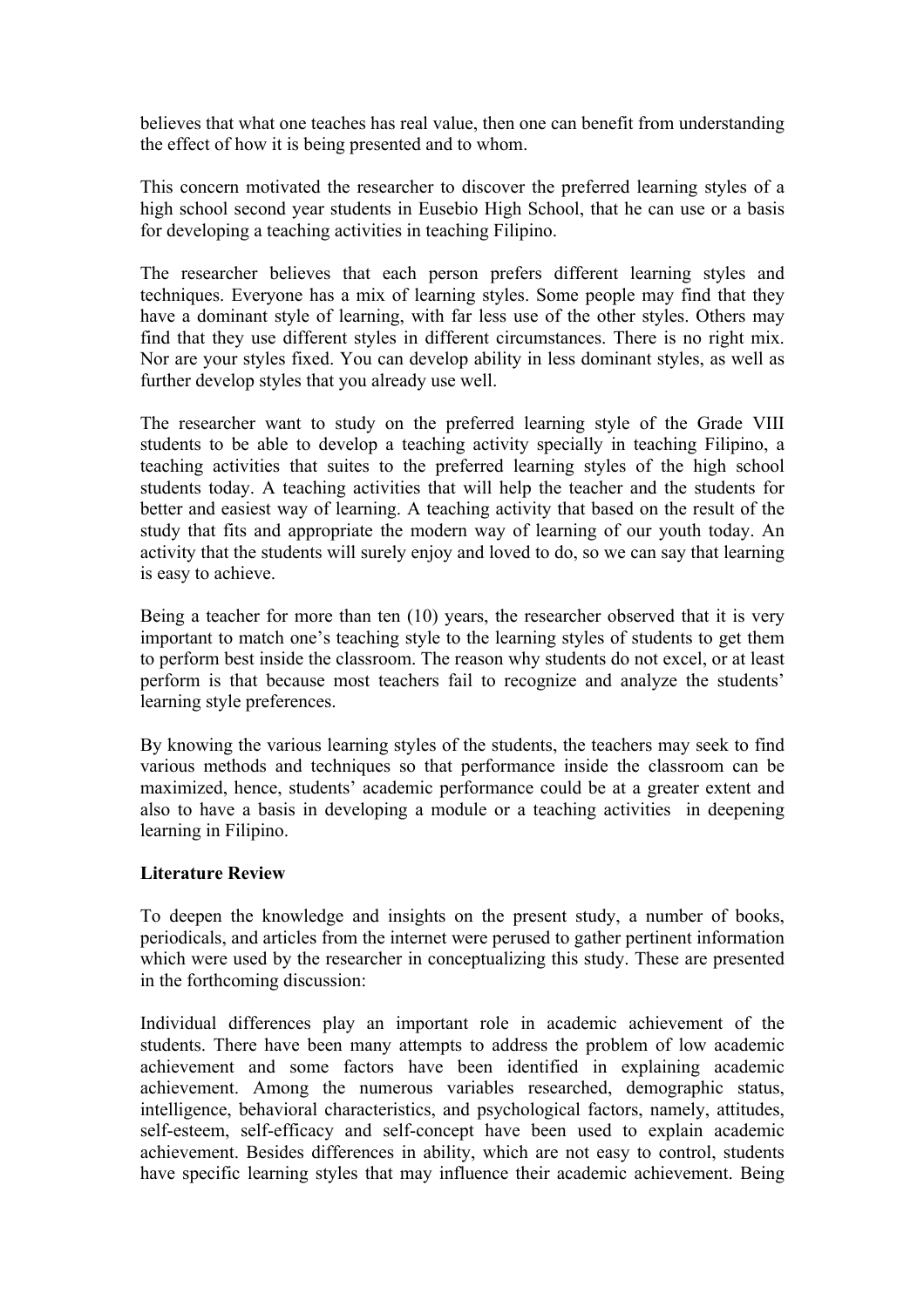believes that what one teaches has real value, then one can benefit from understanding the effect of how it is being presented and to whom.

This concern motivated the researcher to discover the preferred learning styles of a high school second year students in Eusebio High School, that he can use or a basis for developing a teaching activities in teaching Filipino.

The researcher believes that each person prefers different learning styles and techniques. Everyone has a mix of learning styles. Some people may find that they have a dominant style of learning, with far less use of the other styles. Others may find that they use different styles in different circumstances. There is no right mix. Nor are your styles fixed. You can develop ability in less dominant styles, as well as further develop styles that you already use well.

The researcher want to study on the preferred learning style of the Grade VIII students to be able to develop a teaching activity specially in teaching Filipino, a teaching activities that suites to the preferred learning styles of the high school students today. A teaching activities that will help the teacher and the students for better and easiest way of learning. A teaching activity that based on the result of the study that fits and appropriate the modern way of learning of our youth today. An activity that the students will surely enjoy and loved to do, so we can say that learning is easy to achieve.

Being a teacher for more than ten (10) years, the researcher observed that it is very important to match one's teaching style to the learning styles of students to get them to perform best inside the classroom. The reason why students do not excel, or at least perform is that because most teachers fail to recognize and analyze the students' learning style preferences.

By knowing the various learning styles of the students, the teachers may seek to find various methods and techniques so that performance inside the classroom can be maximized, hence, students' academic performance could be at a greater extent and also to have a basis in developing a module or a teaching activities in deepening learning in Filipino.

#### **Literature Review**

To deepen the knowledge and insights on the present study, a number of books, periodicals, and articles from the internet were perused to gather pertinent information which were used by the researcher in conceptualizing this study. These are presented in the forthcoming discussion:

Individual differences play an important role in academic achievement of the students. There have been many attempts to address the problem of low academic achievement and some factors have been identified in explaining academic achievement. Among the numerous variables researched, demographic status, intelligence, behavioral characteristics, and psychological factors, namely, attitudes, self-esteem, self-efficacy and self-concept have been used to explain academic achievement. Besides differences in ability, which are not easy to control, students have specific learning styles that may influence their academic achievement. Being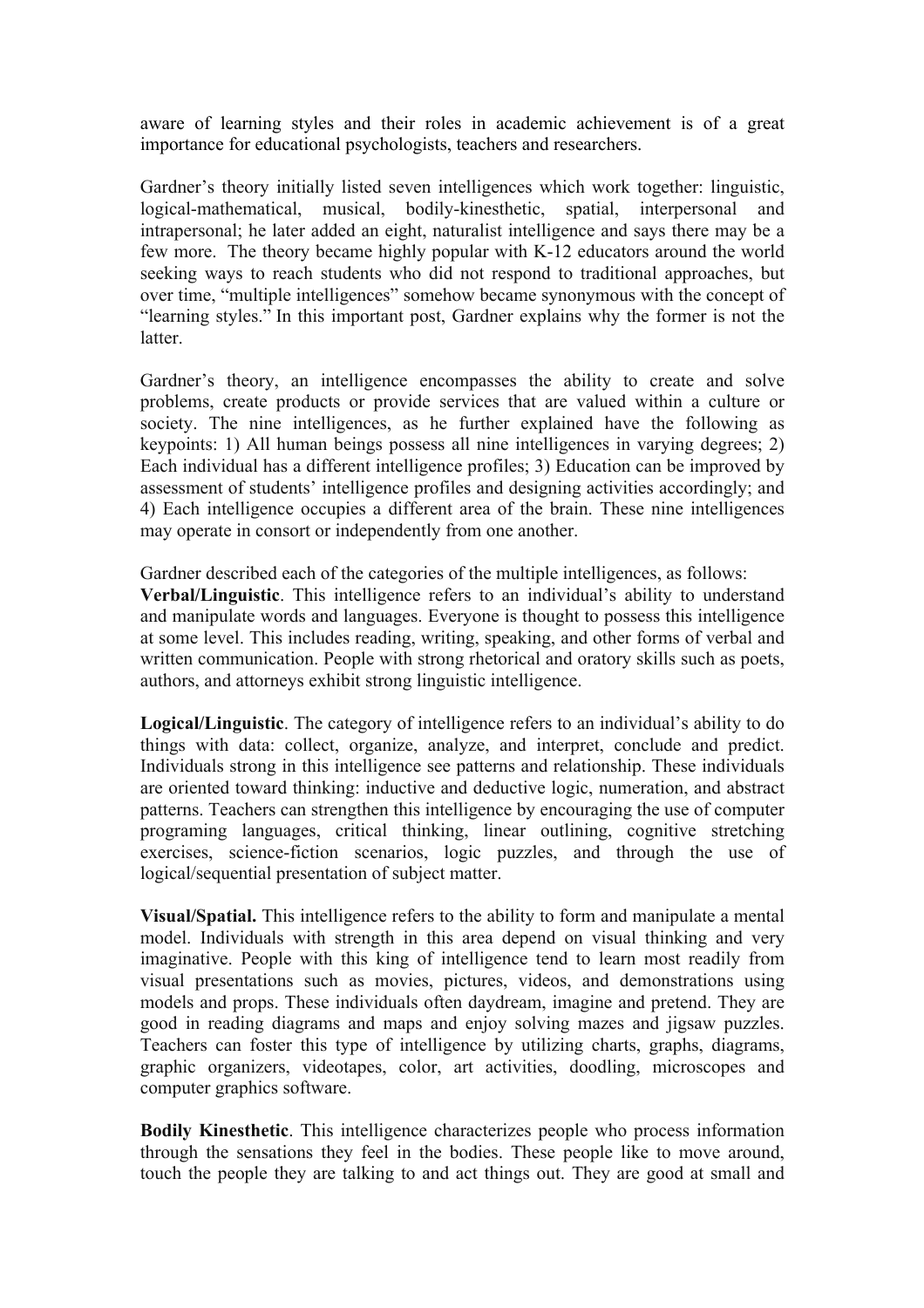aware of learning styles and their roles in academic achievement is of a great importance for educational psychologists, teachers and researchers.

Gardner's theory initially listed seven intelligences which work together: linguistic, logical-mathematical, musical, bodily-kinesthetic, spatial, interpersonal and intrapersonal; he later added an eight, naturalist intelligence and says there may be a few more. The theory became highly popular with K-12 educators around the world seeking ways to reach students who did not respond to traditional approaches, but over time, "multiple intelligences" somehow became synonymous with the concept of "learning styles." In this important post, Gardner explains why the former is not the **latter** 

Gardner's theory, an intelligence encompasses the ability to create and solve problems, create products or provide services that are valued within a culture or society. The nine intelligences, as he further explained have the following as keypoints: 1) All human beings possess all nine intelligences in varying degrees; 2) Each individual has a different intelligence profiles; 3) Education can be improved by assessment of students' intelligence profiles and designing activities accordingly; and 4) Each intelligence occupies a different area of the brain. These nine intelligences may operate in consort or independently from one another.

Gardner described each of the categories of the multiple intelligences, as follows:

**Verbal/Linguistic**. This intelligence refers to an individual's ability to understand and manipulate words and languages. Everyone is thought to possess this intelligence at some level. This includes reading, writing, speaking, and other forms of verbal and written communication. People with strong rhetorical and oratory skills such as poets, authors, and attorneys exhibit strong linguistic intelligence.

**Logical/Linguistic**. The category of intelligence refers to an individual's ability to do things with data: collect, organize, analyze, and interpret, conclude and predict. Individuals strong in this intelligence see patterns and relationship. These individuals are oriented toward thinking: inductive and deductive logic, numeration, and abstract patterns. Teachers can strengthen this intelligence by encouraging the use of computer programing languages, critical thinking, linear outlining, cognitive stretching exercises, science-fiction scenarios, logic puzzles, and through the use of logical/sequential presentation of subject matter.

**Visual/Spatial.** This intelligence refers to the ability to form and manipulate a mental model. Individuals with strength in this area depend on visual thinking and very imaginative. People with this king of intelligence tend to learn most readily from visual presentations such as movies, pictures, videos, and demonstrations using models and props. These individuals often daydream, imagine and pretend. They are good in reading diagrams and maps and enjoy solving mazes and jigsaw puzzles. Teachers can foster this type of intelligence by utilizing charts, graphs, diagrams, graphic organizers, videotapes, color, art activities, doodling, microscopes and computer graphics software.

**Bodily Kinesthetic**. This intelligence characterizes people who process information through the sensations they feel in the bodies. These people like to move around, touch the people they are talking to and act things out. They are good at small and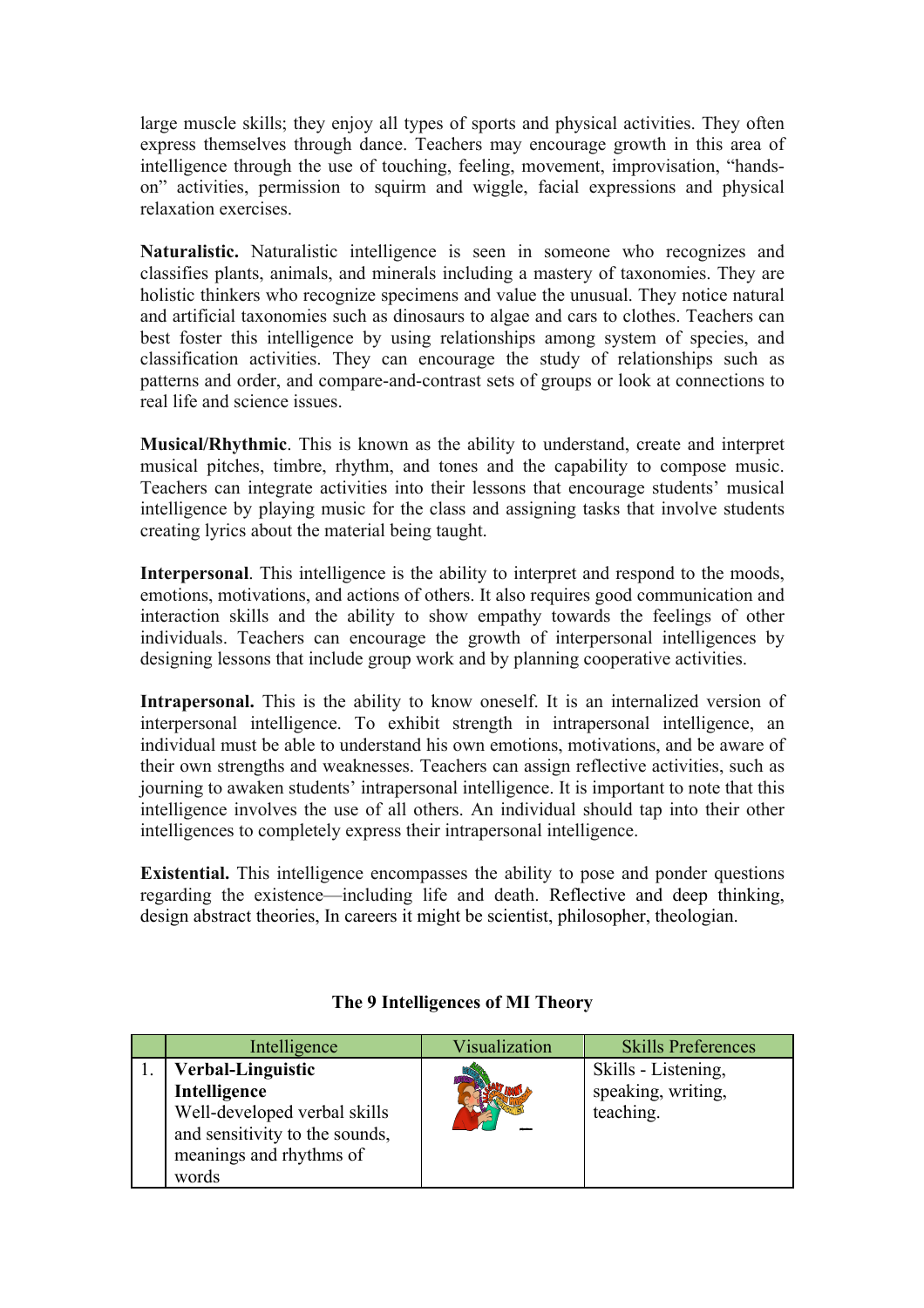large muscle skills; they enjoy all types of sports and physical activities. They often express themselves through dance. Teachers may encourage growth in this area of intelligence through the use of touching, feeling, movement, improvisation, "handson" activities, permission to squirm and wiggle, facial expressions and physical relaxation exercises.

**Naturalistic.** Naturalistic intelligence is seen in someone who recognizes and classifies plants, animals, and minerals including a mastery of taxonomies. They are holistic thinkers who recognize specimens and value the unusual. They notice natural and artificial taxonomies such as dinosaurs to algae and cars to clothes. Teachers can best foster this intelligence by using relationships among system of species, and classification activities. They can encourage the study of relationships such as patterns and order, and compare-and-contrast sets of groups or look at connections to real life and science issues.

**Musical/Rhythmic**. This is known as the ability to understand, create and interpret musical pitches, timbre, rhythm, and tones and the capability to compose music. Teachers can integrate activities into their lessons that encourage students' musical intelligence by playing music for the class and assigning tasks that involve students creating lyrics about the material being taught.

**Interpersonal**. This intelligence is the ability to interpret and respond to the moods, emotions, motivations, and actions of others. It also requires good communication and interaction skills and the ability to show empathy towards the feelings of other individuals. Teachers can encourage the growth of interpersonal intelligences by designing lessons that include group work and by planning cooperative activities.

Intrapersonal. This is the ability to know oneself. It is an internalized version of interpersonal intelligence. To exhibit strength in intrapersonal intelligence, an individual must be able to understand his own emotions, motivations, and be aware of their own strengths and weaknesses. Teachers can assign reflective activities, such as journing to awaken students' intrapersonal intelligence. It is important to note that this intelligence involves the use of all others. An individual should tap into their other intelligences to completely express their intrapersonal intelligence.

**Existential.** This intelligence encompasses the ability to pose and ponder questions regarding the existence—including life and death. Reflective and deep thinking, design abstract theories, In careers it might be scientist, philosopher, theologian.

| Intelligence                   | Visualization | <b>Skills Preferences</b> |
|--------------------------------|---------------|---------------------------|
| <b>Verbal-Linguistic</b>       |               | Skills - Listening,       |
| Intelligence                   |               | speaking, writing,        |
| Well-developed verbal skills   |               | teaching.                 |
| and sensitivity to the sounds, |               |                           |
| meanings and rhythms of        |               |                           |
| words                          |               |                           |

## **The 9 Intelligences of MI Theory**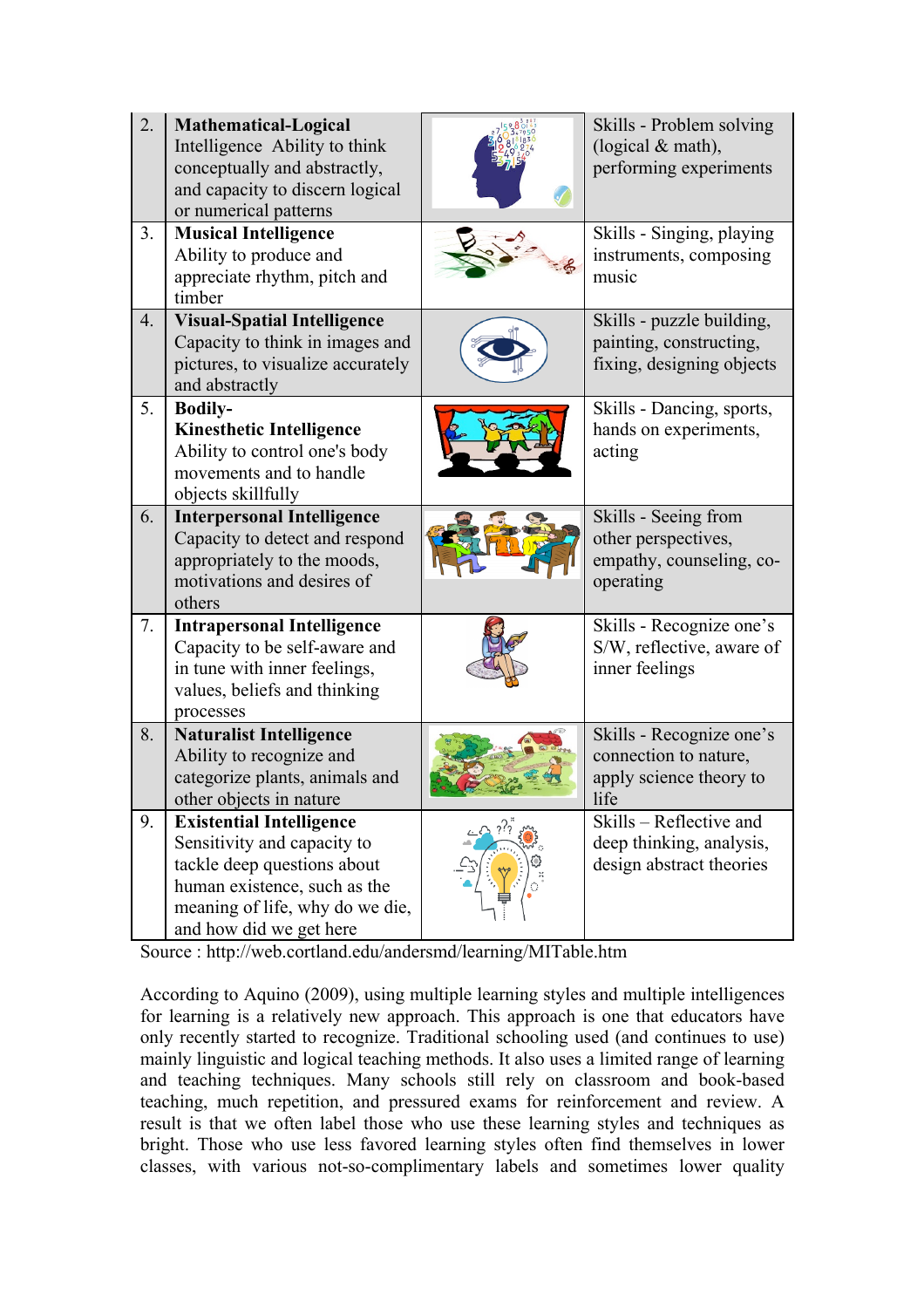| 2. | <b>Mathematical-Logical</b><br>Intelligence Ability to think<br>conceptually and abstractly,<br>and capacity to discern logical<br>or numerical patterns                                    | Skills - Problem solving<br>(logical $&$ math),<br>performing experiments            |
|----|---------------------------------------------------------------------------------------------------------------------------------------------------------------------------------------------|--------------------------------------------------------------------------------------|
| 3. | <b>Musical Intelligence</b><br>Ability to produce and<br>appreciate rhythm, pitch and<br>timber                                                                                             | Skills - Singing, playing<br>instruments, composing<br>music                         |
| 4. | <b>Visual-Spatial Intelligence</b><br>Capacity to think in images and<br>pictures, to visualize accurately<br>and abstractly                                                                | Skills - puzzle building,<br>painting, constructing,<br>fixing, designing objects    |
| 5. | <b>Bodily-</b><br><b>Kinesthetic Intelligence</b><br>Ability to control one's body<br>movements and to handle<br>objects skillfully                                                         | Skills - Dancing, sports,<br>hands on experiments,<br>acting                         |
| 6. | <b>Interpersonal Intelligence</b><br>Capacity to detect and respond<br>appropriately to the moods,<br>motivations and desires of<br>others                                                  | Skills - Seeing from<br>other perspectives,<br>empathy, counseling, co-<br>operating |
| 7. | <b>Intrapersonal Intelligence</b><br>Capacity to be self-aware and<br>in tune with inner feelings,<br>values, beliefs and thinking<br>processes                                             | Skills - Recognize one's<br>S/W, reflective, aware of<br>inner feelings              |
| 8. | <b>Naturalist Intelligence</b><br>Ability to recognize and<br>categorize plants, animals and<br>other objects in nature                                                                     | Skills - Recognize one's<br>connection to nature,<br>apply science theory to<br>life |
| 9. | <b>Existential Intelligence</b><br>Sensitivity and capacity to<br>tackle deep questions about<br>human existence, such as the<br>meaning of life, why do we die,<br>and how did we get here | Skills – Reflective and<br>deep thinking, analysis,<br>design abstract theories      |

Source : http://web.cortland.edu/andersmd/learning/MITable.htm

According to Aquino (2009), using multiple learning styles and multiple intelligences for learning is a relatively new approach. This approach is one that educators have only recently started to recognize. Traditional schooling used (and continues to use) mainly linguistic and logical teaching methods. It also uses a limited range of learning and teaching techniques. Many schools still rely on classroom and book-based teaching, much repetition, and pressured exams for reinforcement and review. A result is that we often label those who use these learning styles and techniques as bright. Those who use less favored learning styles often find themselves in lower classes, with various not-so-complimentary labels and sometimes lower quality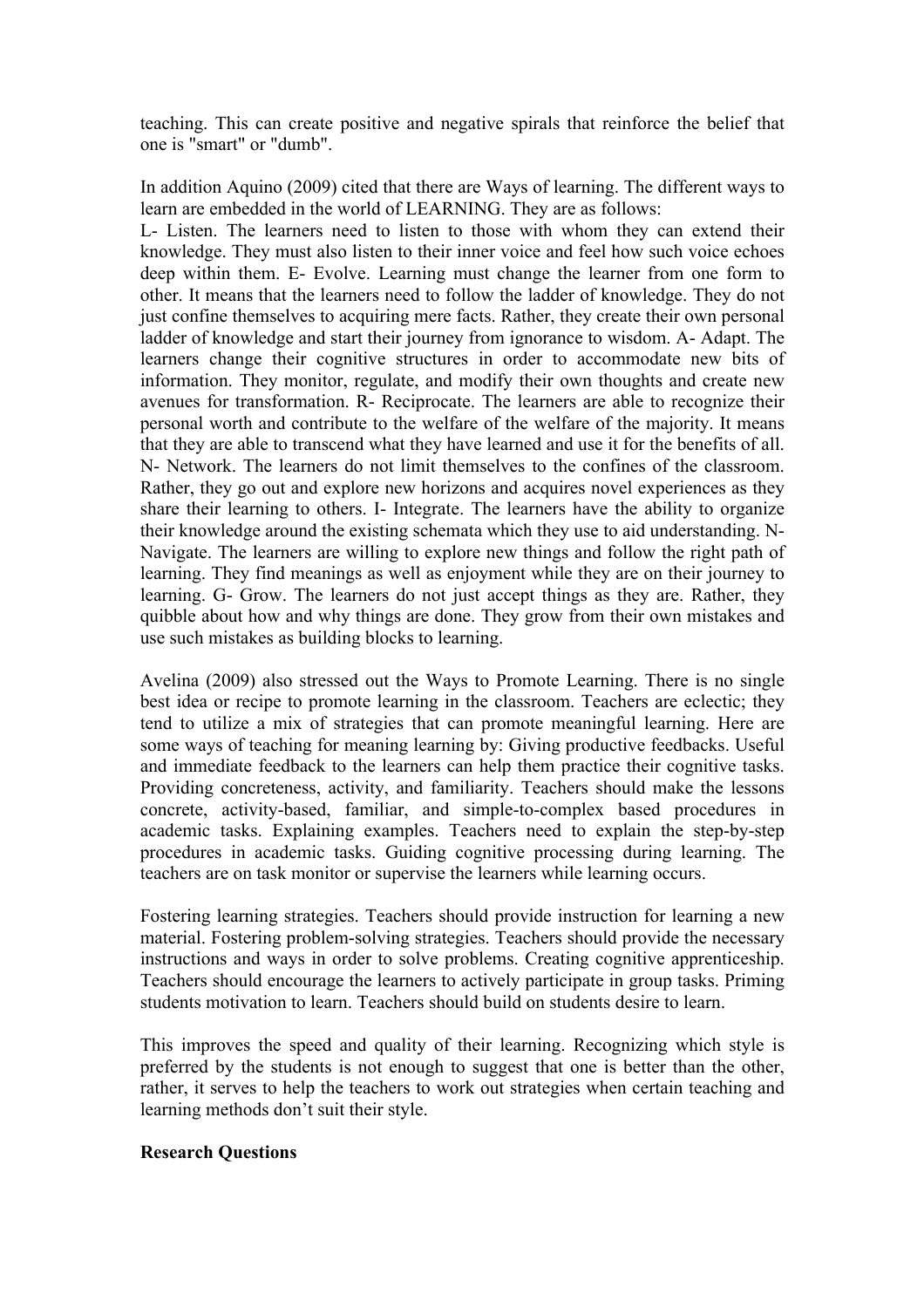teaching. This can create positive and negative spirals that reinforce the belief that one is "smart" or "dumb".

In addition Aquino (2009) cited that there are Ways of learning. The different ways to learn are embedded in the world of LEARNING. They are as follows:

L- Listen. The learners need to listen to those with whom they can extend their knowledge. They must also listen to their inner voice and feel how such voice echoes deep within them. E- Evolve. Learning must change the learner from one form to other. It means that the learners need to follow the ladder of knowledge. They do not just confine themselves to acquiring mere facts. Rather, they create their own personal ladder of knowledge and start their journey from ignorance to wisdom. A- Adapt. The learners change their cognitive structures in order to accommodate new bits of information. They monitor, regulate, and modify their own thoughts and create new avenues for transformation. R- Reciprocate. The learners are able to recognize their personal worth and contribute to the welfare of the welfare of the majority. It means that they are able to transcend what they have learned and use it for the benefits of all. N- Network. The learners do not limit themselves to the confines of the classroom. Rather, they go out and explore new horizons and acquires novel experiences as they share their learning to others. I- Integrate. The learners have the ability to organize their knowledge around the existing schemata which they use to aid understanding. N-Navigate. The learners are willing to explore new things and follow the right path of learning. They find meanings as well as enjoyment while they are on their journey to learning. G- Grow. The learners do not just accept things as they are. Rather, they quibble about how and why things are done. They grow from their own mistakes and use such mistakes as building blocks to learning.

Avelina (2009) also stressed out the Ways to Promote Learning. There is no single best idea or recipe to promote learning in the classroom. Teachers are eclectic; they tend to utilize a mix of strategies that can promote meaningful learning. Here are some ways of teaching for meaning learning by: Giving productive feedbacks. Useful and immediate feedback to the learners can help them practice their cognitive tasks. Providing concreteness, activity, and familiarity. Teachers should make the lessons concrete, activity-based, familiar, and simple-to-complex based procedures in academic tasks. Explaining examples. Teachers need to explain the step-by-step procedures in academic tasks. Guiding cognitive processing during learning. The teachers are on task monitor or supervise the learners while learning occurs.

Fostering learning strategies. Teachers should provide instruction for learning a new material. Fostering problem-solving strategies. Teachers should provide the necessary instructions and ways in order to solve problems. Creating cognitive apprenticeship. Teachers should encourage the learners to actively participate in group tasks. Priming students motivation to learn. Teachers should build on students desire to learn.

This improves the speed and quality of their learning. Recognizing which style is preferred by the students is not enough to suggest that one is better than the other, rather, it serves to help the teachers to work out strategies when certain teaching and learning methods don't suit their style.

#### **Research Questions**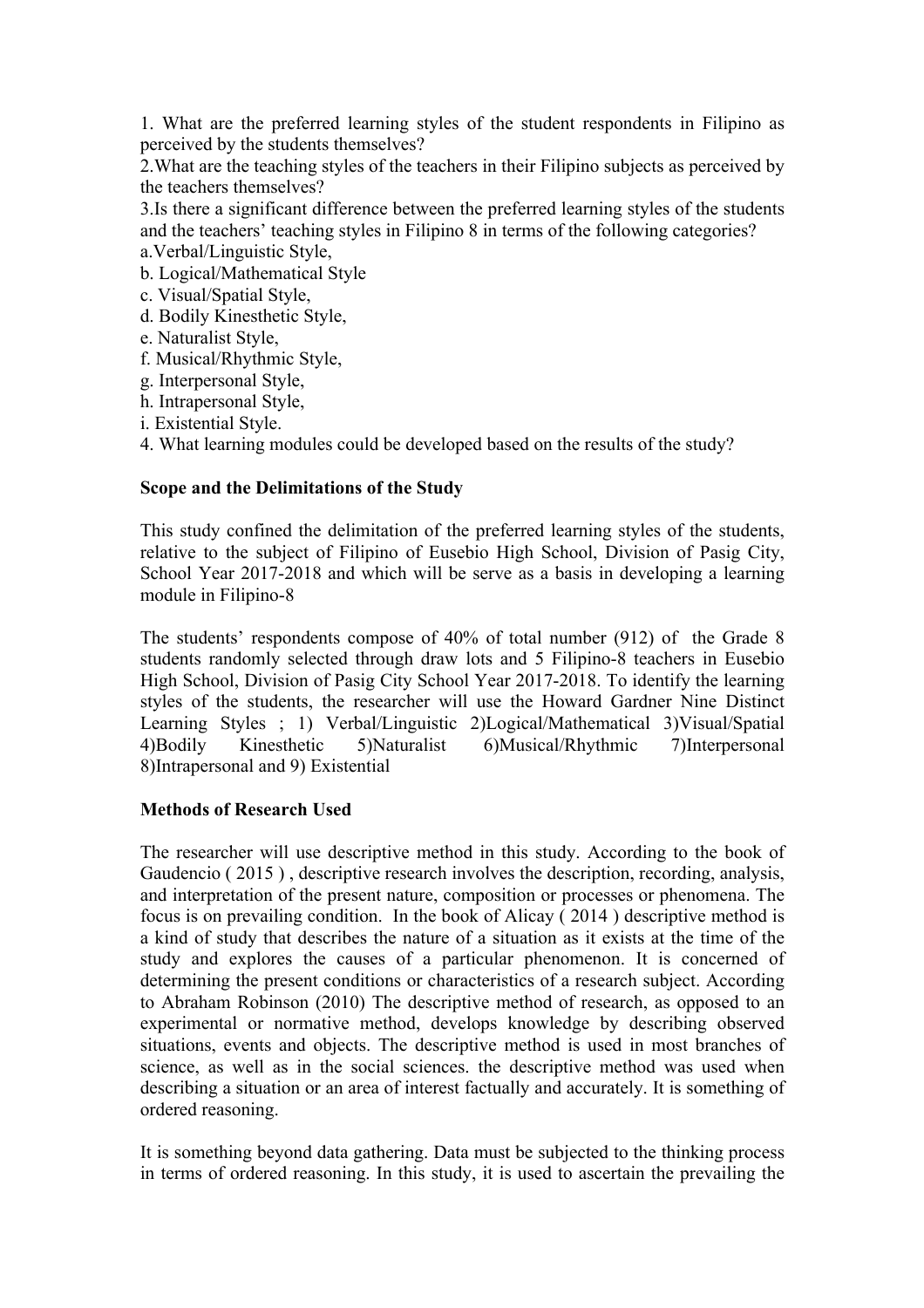1. What are the preferred learning styles of the student respondents in Filipino as perceived by the students themselves?

2.What are the teaching styles of the teachers in their Filipino subjects as perceived by the teachers themselves?

3.Is there a significant difference between the preferred learning styles of the students and the teachers' teaching styles in Filipino 8 in terms of the following categories? a.Verbal/Linguistic Style,

b. Logical/Mathematical Style

- c. Visual/Spatial Style,
- d. Bodily Kinesthetic Style,
- e. Naturalist Style,
- f. Musical/Rhythmic Style,
- g. Interpersonal Style,
- h. Intrapersonal Style,
- i. Existential Style.

4. What learning modules could be developed based on the results of the study?

## **Scope and the Delimitations of the Study**

This study confined the delimitation of the preferred learning styles of the students, relative to the subject of Filipino of Eusebio High School, Division of Pasig City, School Year 2017-2018 and which will be serve as a basis in developing a learning module in Filipino-8

The students' respondents compose of 40% of total number (912) of the Grade 8 students randomly selected through draw lots and 5 Filipino-8 teachers in Eusebio High School, Division of Pasig City School Year 2017-2018. To identify the learning styles of the students, the researcher will use the Howard Gardner Nine Distinct Learning Styles ; 1) Verbal/Linguistic 2)Logical/Mathematical 3)Visual/Spatial 4)Bodily Kinesthetic 5)Naturalist 6)Musical/Rhythmic 7)Interpersonal 8)Intrapersonal and 9) Existential

## **Methods of Research Used**

The researcher will use descriptive method in this study. According to the book of Gaudencio ( 2015 ) , descriptive research involves the description, recording, analysis, and interpretation of the present nature, composition or processes or phenomena. The focus is on prevailing condition. In the book of Alicay ( 2014 ) descriptive method is a kind of study that describes the nature of a situation as it exists at the time of the study and explores the causes of a particular phenomenon. It is concerned of determining the present conditions or characteristics of a research subject. According to Abraham Robinson (2010) The descriptive method of research, as opposed to an experimental or normative method, develops knowledge by describing observed situations, events and objects. The descriptive method is used in most branches of science, as well as in the social sciences. the descriptive method was used when describing a situation or an area of interest factually and accurately. It is something of ordered reasoning.

It is something beyond data gathering. Data must be subjected to the thinking process in terms of ordered reasoning. In this study, it is used to ascertain the prevailing the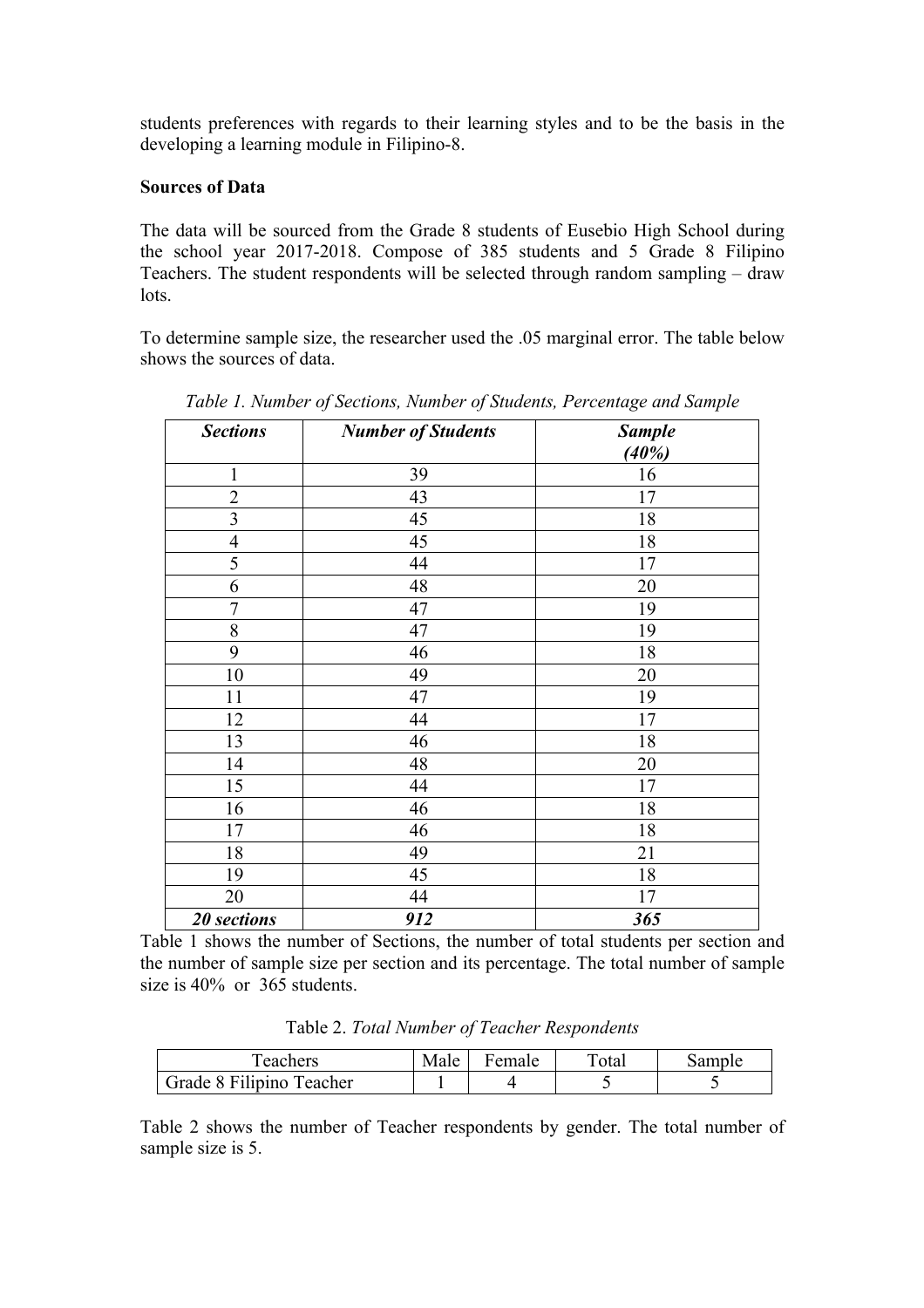students preferences with regards to their learning styles and to be the basis in the developing a learning module in Filipino-8.

#### **Sources of Data**

The data will be sourced from the Grade 8 students of Eusebio High School during the school year 2017-2018. Compose of 385 students and 5 Grade 8 Filipino Teachers. The student respondents will be selected through random sampling – draw lots.

To determine sample size, the researcher used the .05 marginal error. The table below shows the sources of data.

| <b>Sections</b> | <b>Number of Students</b> | <b>Sample</b> |
|-----------------|---------------------------|---------------|
|                 |                           | (40%)         |
| $\mathbf{1}$    | 39                        | 16            |
| $\overline{2}$  | 43                        | 17            |
| 3               | 45                        | 18            |
| $\overline{4}$  | 45                        | 18            |
| 5               | 44                        | 17            |
| 6               | 48                        | 20            |
| $\overline{7}$  | 47                        | 19            |
| 8               | 47                        | 19            |
| 9               | 46                        | 18            |
| 10              | 49                        | 20            |
| 11              | 47                        | 19            |
| 12              | 44                        | 17            |
| 13              | 46                        | 18            |
| 14              | 48                        | 20            |
| 15              | 44                        | 17            |
| 16              | 46                        | 18            |
| 17              | 46                        | 18            |
| 18              | 49                        | 21            |
| 19              | 45                        | 18            |
| 20              | 44                        | 17            |
| 20 sections     | 912                       | 365           |

*Table 1. Number of Sections, Number of Students, Percentage and Sample*

Table 1 shows the number of Sections, the number of total students per section and the number of sample size per section and its percentage. The total number of sample size is 40% or 365 students.

Table 2. *Total Number of Teacher Respondents* 

| Teachers                 | Male | Female | $\tau_{\text{otal}}$ | Sample |
|--------------------------|------|--------|----------------------|--------|
| Grade 8 Filipino Teacher |      |        |                      |        |

Table 2 shows the number of Teacher respondents by gender. The total number of sample size is 5.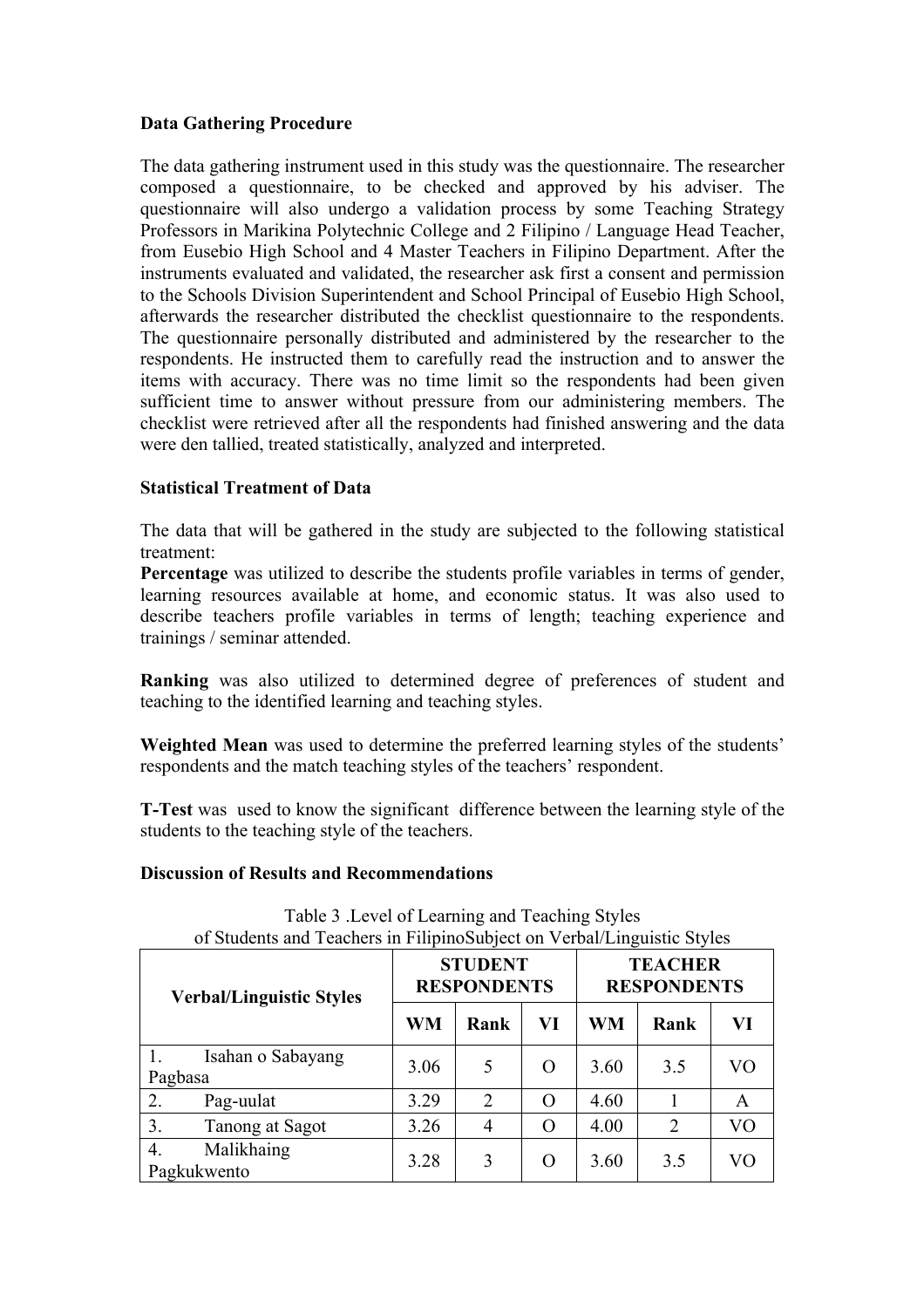## **Data Gathering Procedure**

The data gathering instrument used in this study was the questionnaire. The researcher composed a questionnaire, to be checked and approved by his adviser. The questionnaire will also undergo a validation process by some Teaching Strategy Professors in Marikina Polytechnic College and 2 Filipino / Language Head Teacher, from Eusebio High School and 4 Master Teachers in Filipino Department. After the instruments evaluated and validated, the researcher ask first a consent and permission to the Schools Division Superintendent and School Principal of Eusebio High School, afterwards the researcher distributed the checklist questionnaire to the respondents. The questionnaire personally distributed and administered by the researcher to the respondents. He instructed them to carefully read the instruction and to answer the items with accuracy. There was no time limit so the respondents had been given sufficient time to answer without pressure from our administering members. The checklist were retrieved after all the respondents had finished answering and the data were den tallied, treated statistically, analyzed and interpreted.

## **Statistical Treatment of Data**

The data that will be gathered in the study are subjected to the following statistical treatment:

**Percentage** was utilized to describe the students profile variables in terms of gender, learning resources available at home, and economic status. It was also used to describe teachers profile variables in terms of length; teaching experience and trainings / seminar attended.

**Ranking** was also utilized to determined degree of preferences of student and teaching to the identified learning and teaching styles.

**Weighted Mean** was used to determine the preferred learning styles of the students' respondents and the match teaching styles of the teachers' respondent.

**T-Test** was used to know the significant difference between the learning style of the students to the teaching style of the teachers.

#### **Discussion of Results and Recommendations**

|                                 | of students and Teachers in Findinosubject on Verbal/Linguistic styles |      |                                      |                |                                      |      |    |
|---------------------------------|------------------------------------------------------------------------|------|--------------------------------------|----------------|--------------------------------------|------|----|
| <b>Verbal/Linguistic Styles</b> |                                                                        |      | <b>STUDENT</b><br><b>RESPONDENTS</b> |                | <b>TEACHER</b><br><b>RESPONDENTS</b> |      |    |
|                                 |                                                                        | WM   | Rank                                 | VI             | WM                                   | Rank | VI |
| Pagbasa                         | Isahan o Sabayang                                                      | 3.06 | 5                                    | O              | 3.60                                 | 3.5  | VO |
| 2.                              | Pag-uulat                                                              | 3.29 | $\overline{2}$                       | $\overline{O}$ | 4.60                                 |      | A  |
| 3.                              | Tanong at Sagot                                                        | 3.26 | 4                                    | O              | 4.00                                 | 2    | VO |
| 4.<br>Pagkukwento               | Malikhaing                                                             | 3.28 | 3                                    | O              | 3.60                                 | 3.5  | VO |

Table 3 .Level of Learning and Teaching Styles of Students and Teachers in FilipinoSubject on Verbal/Linguistic Styles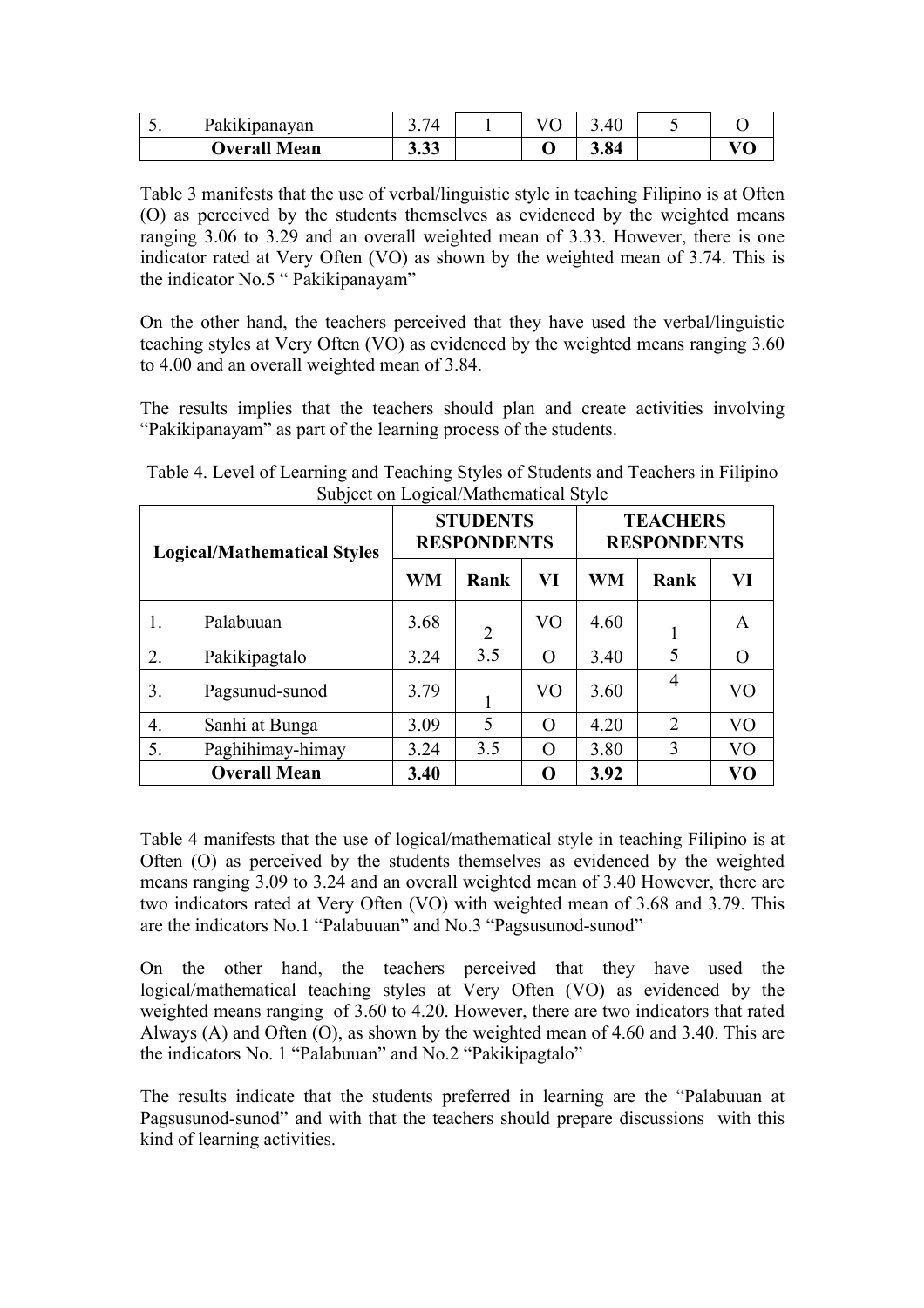| Pakikipanayan       | 71<br><u>.</u> |  | 40   |  |
|---------------------|----------------|--|------|--|
| <b>Overall Mean</b> | ר ר<br>J.JJ    |  | 3.84 |  |

Table 3 manifests that the use of verbal/linguistic style in teaching Filipino is at Often (O) as perceived by the students themselves as evidenced by the weighted means ranging 3.06 to 3.29 and an overall weighted mean of 3.33. However, there is one indicator rated at Very Often (VO) as shown by the weighted mean of 3.74. This is the indicator No.5 " Pakikipanayam"

On the other hand, the teachers perceived that they have used the verbal/linguistic teaching styles at Very Often (VO) as evidenced by the weighted means ranging 3.60 to 4.00 and an overall weighted mean of 3.84.

The results implies that the teachers should plan and create activities involving "Pakikipanayam" as part of the learning process of the students.

| <b>Logical/Mathematical Styles</b> |                     | <b>STUDENTS</b><br><b>RESPONDENTS</b> |                |                | <b>TEACHERS</b><br><b>RESPONDENTS</b> |                |                |
|------------------------------------|---------------------|---------------------------------------|----------------|----------------|---------------------------------------|----------------|----------------|
|                                    |                     | WM                                    | Rank           | VI             | <b>WM</b>                             | Rank           | VI             |
|                                    | Palabuuan           | 3.68                                  | $\overline{2}$ | VO             | 4.60                                  |                | A              |
| 2.                                 | Pakikipagtalo       | 3.24                                  | 3.5            | $\overline{O}$ | 3.40                                  | 5              | $\Omega$       |
| 3.                                 | Pagsunud-sunod      | 3.79                                  |                | V <sub>O</sub> | 3.60                                  | 4              | V <sub>O</sub> |
| 4.                                 | Sanhi at Bunga      | 3.09                                  | 5              | $\overline{O}$ | 4.20                                  | $\overline{2}$ | V <sub>O</sub> |
| 5.                                 | Paghihimay-himay    | 3.24                                  | 3.5            | O              | 3.80                                  | 3              | V <sub>O</sub> |
|                                    | <b>Overall Mean</b> | 3.40                                  |                | O              | 3.92                                  |                | VО             |

Table 4. Level of Learning and Teaching Styles of Students and Teachers in Filipino Subject on Logical/Mathematical Style

Table 4 manifests that the use of logical/mathematical style in teaching Filipino is at Often (O) as perceived by the students themselves as evidenced by the weighted means ranging 3.09 to 3.24 and an overall weighted mean of 3.40 However, there are two indicators rated at Very Often (VO) with weighted mean of 3.68 and 3.79. This are the indicators No.1 "Palabuuan" and No.3 "Pagsusunod-sunod"

On the other hand, the teachers perceived that they have used the logical/mathematical teaching styles at Very Often (VO) as evidenced by the weighted means ranging of 3.60 to 4.20. However, there are two indicators that rated Always (A) and Often (O), as shown by the weighted mean of 4.60 and 3.40. This are the indicators No. 1 "Palabuuan" and No.2 "Pakikipagtalo"

The results indicate that the students preferred in learning are the "Palabuuan at Pagsusunod-sunod" and with that the teachers should prepare discussions with this kind of learning activities.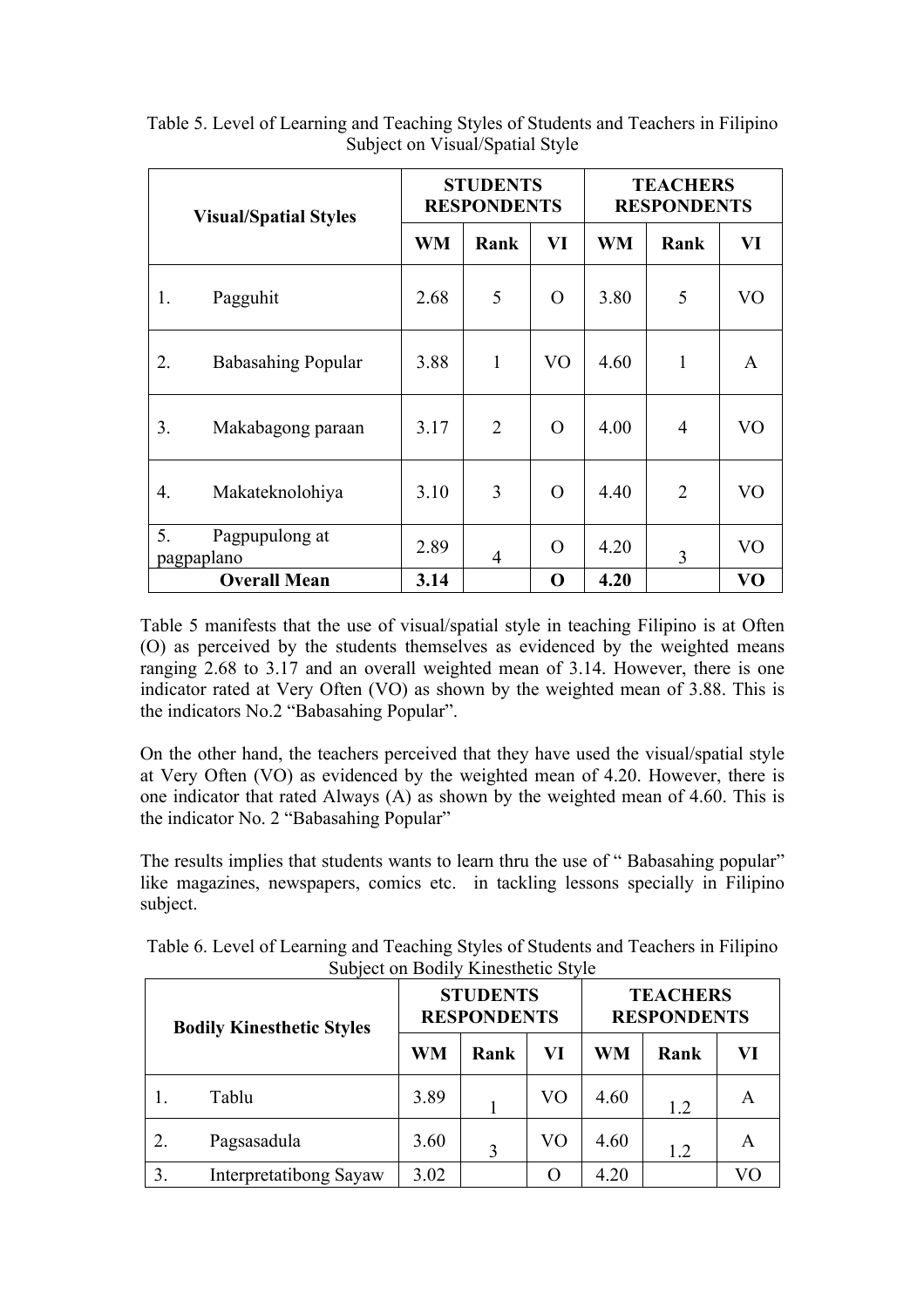|    | <b>Visual/Spatial Styles</b> |           | <b>STUDENTS</b><br><b>RESPONDENTS</b> |    |           | <b>TEACHERS</b><br><b>RESPONDENTS</b> |                |  |
|----|------------------------------|-----------|---------------------------------------|----|-----------|---------------------------------------|----------------|--|
|    |                              | <b>WM</b> | Rank                                  | VI | <b>WM</b> | Rank                                  | VI             |  |
| 1. | Pagguhit                     | 2.68      | 5                                     | O  | 3.80      | 5                                     | VO             |  |
| 2. | <b>Babasahing Popular</b>    | 3.88      | 1                                     | VO | 4.60      | $\mathbf{1}$                          | A              |  |
| 3. | Makabagong paraan            | 3.17      | $\overline{2}$                        | O  | 4.00      | $\overline{4}$                        | VO             |  |
| 4. | Makateknolohiya              | 3.10      | 3                                     | O  | 4.40      | $\overline{2}$                        | VO             |  |
| 5. | Pagpupulong at<br>pagpaplano | 2.89      | 4                                     | O  | 4.20      | 3                                     | V <sub>O</sub> |  |
|    | <b>Overall Mean</b>          | 3.14      |                                       | O  | 4.20      |                                       | V <sub>O</sub> |  |

Table 5. Level of Learning and Teaching Styles of Students and Teachers in Filipino Subject on Visual/Spatial Style

Table 5 manifests that the use of visual/spatial style in teaching Filipino is at Often (O) as perceived by the students themselves as evidenced by the weighted means ranging 2.68 to 3.17 and an overall weighted mean of 3.14. However, there is one indicator rated at Very Often (VO) as shown by the weighted mean of 3.88. This is the indicators No.2 "Babasahing Popular".

On the other hand, the teachers perceived that they have used the visual/spatial style at Very Often (VO) as evidenced by the weighted mean of 4.20. However, there is one indicator that rated Always (A) as shown by the weighted mean of 4.60. This is the indicator No. 2 "Babasahing Popular"

The results implies that students wants to learn thru the use of " Babasahing popular" like magazines, newspapers, comics etc. in tackling lessons specially in Filipino subject.

| <b>Bodily Kinesthetic Styles</b> |                               |      | Subject on Bourly Kniestriene Style<br><b>STUDENTS</b><br><b>RESPONDENTS</b> |    | <b>TEACHERS</b><br><b>RESPONDENTS</b> |      |    |
|----------------------------------|-------------------------------|------|------------------------------------------------------------------------------|----|---------------------------------------|------|----|
|                                  |                               | WM   | Rank                                                                         | VI | WM                                    | Rank | VI |
|                                  | Tablu                         | 3.89 |                                                                              | VO | 4.60                                  | 1.2  | A  |
|                                  | Pagsasadula                   | 3.60 | 3                                                                            | VO | 4.60                                  | 1.2  | A  |
| 3.                               | <b>Interpretatibong Sayaw</b> | 3.02 |                                                                              | О  | 4.20                                  |      | VО |

Table 6. Level of Learning and Teaching Styles of Students and Teachers in Filipino  $\overline{\text{Subipot}}$  on  $\overline{\text{Bodiby}}$  Kinesthetic Style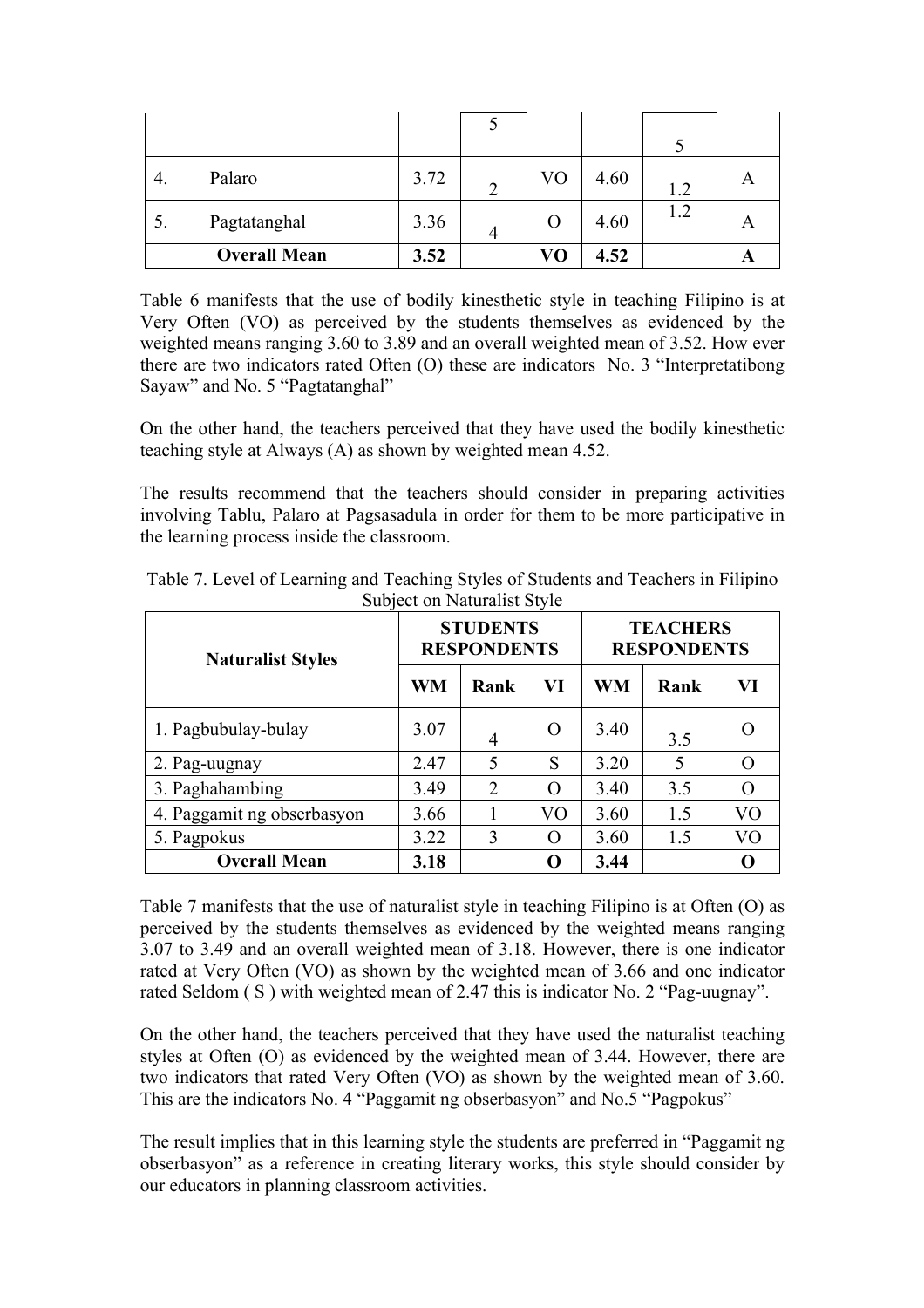|    | Palaro              | 3.72 | VO | 4.60 | 1.2 | A |
|----|---------------------|------|----|------|-----|---|
| J. | Pagtatanghal        | 3.36 | Ő  | 4.60 | 1.2 | A |
|    | <b>Overall Mean</b> | 3.52 | VO | 4.52 |     |   |

Table 6 manifests that the use of bodily kinesthetic style in teaching Filipino is at Very Often (VO) as perceived by the students themselves as evidenced by the weighted means ranging 3.60 to 3.89 and an overall weighted mean of 3.52. How ever there are two indicators rated Often (O) these are indicators No. 3 "Interpretatibong Sayaw" and No. 5 "Pagtatanghal"

On the other hand, the teachers perceived that they have used the bodily kinesthetic teaching style at Always (A) as shown by weighted mean 4.52.

The results recommend that the teachers should consider in preparing activities involving Tablu, Palaro at Pagsasadula in order for them to be more participative in the learning process inside the classroom.

| <b>Naturalist Styles</b>   | <b>STUDENTS</b><br><b>RESPONDENTS</b> |      |          | <b>TEACHERS</b><br><b>RESPONDENTS</b> |      |    |
|----------------------------|---------------------------------------|------|----------|---------------------------------------|------|----|
|                            | WM                                    | Rank | VI       | <b>WM</b>                             | Rank | VI |
| 1. Pagbubulay-bulay        | 3.07                                  | 4    | $\Omega$ | 3.40                                  | 3.5  |    |
| 2. Pag-uugnay              | 2.47                                  | 5    | S        | 3.20                                  | 5    |    |
| 3. Paghahambing            | 3.49                                  | 2    | $\Omega$ | 3.40                                  | 3.5  |    |
| 4. Paggamit ng obserbasyon | 3.66                                  |      | VO       | 3.60                                  | 1.5  | VО |
| 5. Pagpokus                | 3.22                                  | 3    | O        | 3.60                                  | 1.5  | VО |
| <b>Overall Mean</b>        | 3.18                                  |      | O        | 3.44                                  |      |    |

Table 7. Level of Learning and Teaching Styles of Students and Teachers in Filipino Subject on Naturalist Style

Table 7 manifests that the use of naturalist style in teaching Filipino is at Often (O) as perceived by the students themselves as evidenced by the weighted means ranging 3.07 to 3.49 and an overall weighted mean of 3.18. However, there is one indicator rated at Very Often (VO) as shown by the weighted mean of 3.66 and one indicator rated Seldom ( S ) with weighted mean of 2.47 this is indicator No. 2 "Pag-uugnay".

On the other hand, the teachers perceived that they have used the naturalist teaching styles at Often (O) as evidenced by the weighted mean of 3.44. However, there are two indicators that rated Very Often (VO) as shown by the weighted mean of 3.60. This are the indicators No. 4 "Paggamit ng obserbasyon" and No.5 "Pagpokus"

The result implies that in this learning style the students are preferred in "Paggamit ng obserbasyon" as a reference in creating literary works, this style should consider by our educators in planning classroom activities.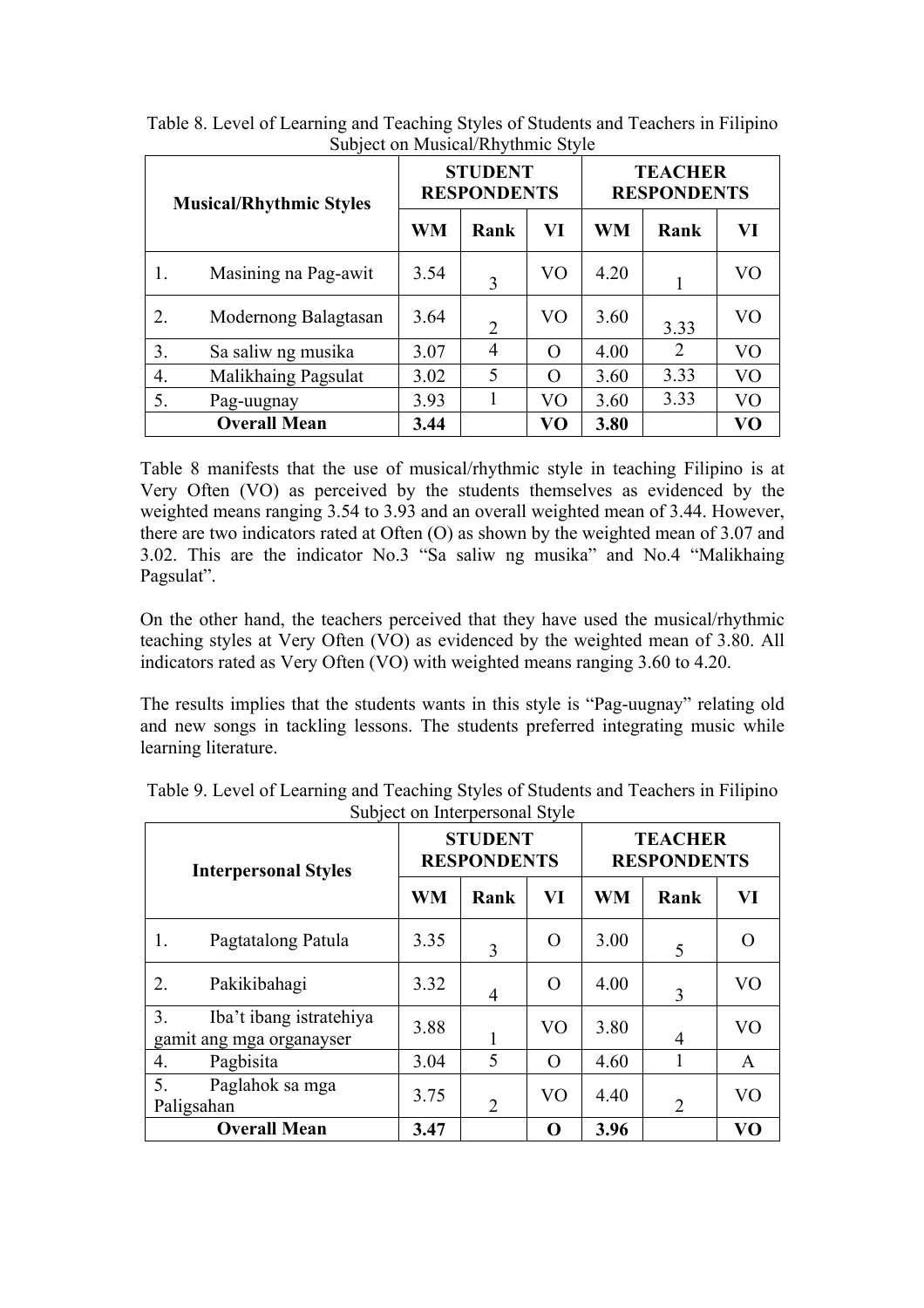| <b>Musical/Rhythmic Styles</b> |                      |      | <b>STUDENT</b><br><b>RESPONDENTS</b> |          |      | <b>TEACHER</b><br><b>RESPONDENTS</b> |                |  |
|--------------------------------|----------------------|------|--------------------------------------|----------|------|--------------------------------------|----------------|--|
|                                |                      | WM   | Rank                                 | VI       | WM   | Rank                                 | VI             |  |
| 1.                             | Masining na Pag-awit | 3.54 | 3                                    | VO       | 4.20 |                                      | VO             |  |
| 2.                             | Modernong Balagtasan | 3.64 | $\overline{2}$                       | VO       | 3.60 | 3.33                                 | VO             |  |
| 3.                             | Sa saliw ng musika   | 3.07 | 4                                    | $\Omega$ | 4.00 | 2                                    | V <sub>O</sub> |  |
| $\overline{4}$ .               | Malikhaing Pagsulat  | 3.02 | 5                                    | $\Omega$ | 3.60 | 3.33                                 | VO             |  |
| 5.                             | Pag-uugnay           | 3.93 |                                      | VO       | 3.60 | 3.33                                 | VO             |  |
|                                | <b>Overall Mean</b>  | 3.44 |                                      | VO       | 3.80 |                                      | VO             |  |

Table 8. Level of Learning and Teaching Styles of Students and Teachers in Filipino Subject on Musical/Rhythmic Style

Table 8 manifests that the use of musical/rhythmic style in teaching Filipino is at Very Often (VO) as perceived by the students themselves as evidenced by the weighted means ranging 3.54 to 3.93 and an overall weighted mean of 3.44. However, there are two indicators rated at Often (O) as shown by the weighted mean of 3.07 and 3.02. This are the indicator No.3 "Sa saliw ng musika" and No.4 "Malikhaing Pagsulat".

On the other hand, the teachers perceived that they have used the musical/rhythmic teaching styles at Very Often (VO) as evidenced by the weighted mean of 3.80. All indicators rated as Very Often (VO) with weighted means ranging 3.60 to 4.20.

The results implies that the students wants in this style is "Pag-uugnay" relating old and new songs in tackling lessons. The students preferred integrating music while learning literature.

| <b>Interpersonal Styles</b>                               |           | <b>STUDENT</b><br><b>RESPONDENTS</b> |                | <b>TEACHER</b><br><b>RESPONDENTS</b> |                |                |  |
|-----------------------------------------------------------|-----------|--------------------------------------|----------------|--------------------------------------|----------------|----------------|--|
|                                                           | <b>WM</b> | Rank                                 | VI             | <b>WM</b>                            | Rank           | VI             |  |
| Pagtatalong Patula<br>1.                                  | 3.35      | 3                                    | O              | 3.00                                 | 5              |                |  |
| Pakikibahagi<br>2.                                        | 3.32      | $\overline{4}$                       | $\Omega$       | 4.00                                 | 3              | V <sub>O</sub> |  |
| 3.<br>Iba't ibang istratehiya<br>gamit ang mga organayser | 3.88      |                                      | V <sub>O</sub> | 3.80                                 | 4              | V <sub>O</sub> |  |
| Pagbisita<br>4.                                           | 3.04      | 5                                    | $\Omega$       | 4.60                                 |                | A              |  |
| 5.<br>Paglahok sa mga<br>Paligsahan                       | 3.75      | $\overline{2}$                       | V <sub>O</sub> | 4.40                                 | $\overline{2}$ | V <sub>O</sub> |  |
| <b>Overall Mean</b>                                       | 3.47      |                                      | O              | 3.96                                 |                | VO             |  |

Table 9. Level of Learning and Teaching Styles of Students and Teachers in Filipino Subject on Interpersonal Style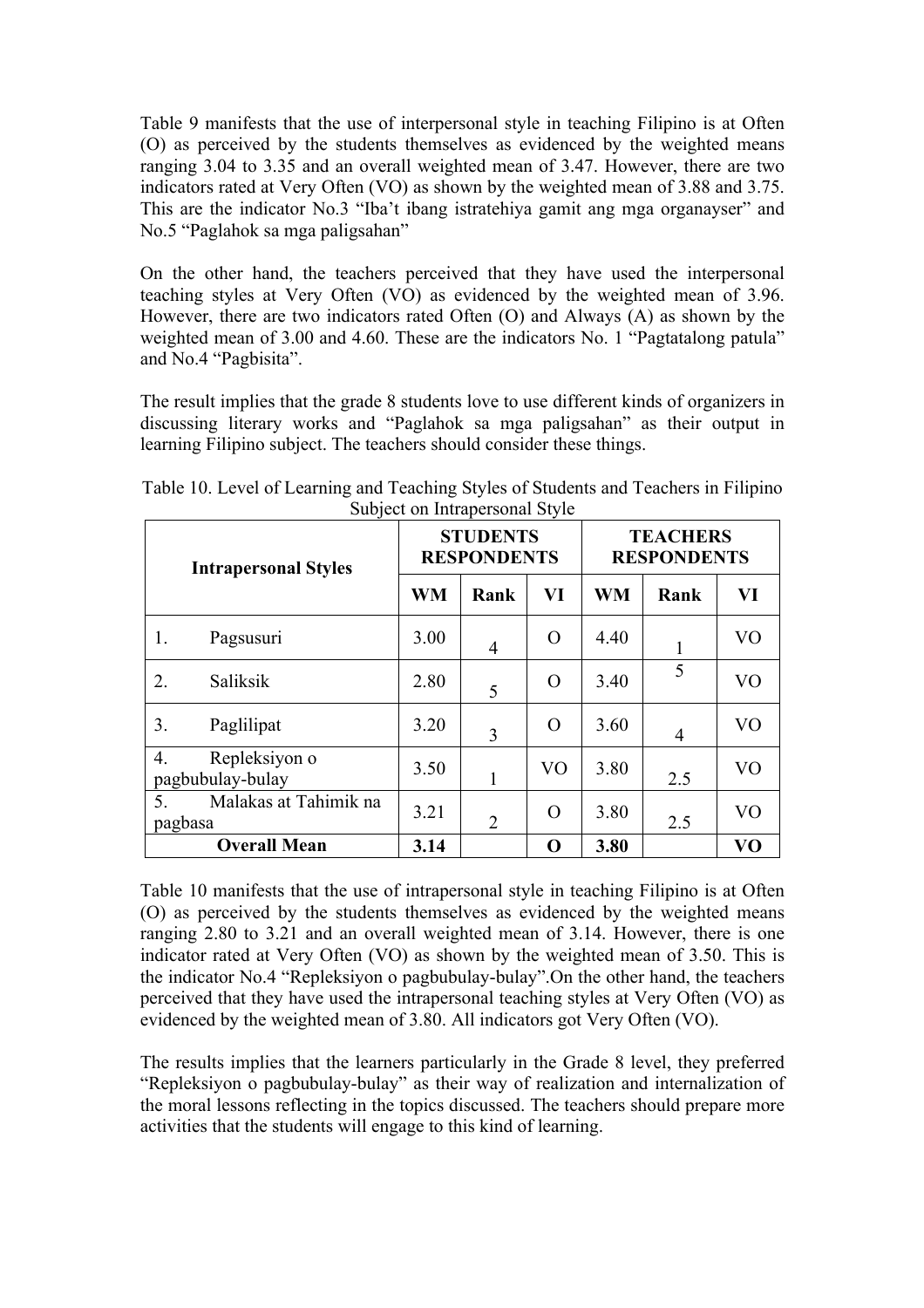Table 9 manifests that the use of interpersonal style in teaching Filipino is at Often (O) as perceived by the students themselves as evidenced by the weighted means ranging 3.04 to 3.35 and an overall weighted mean of 3.47. However, there are two indicators rated at Very Often (VO) as shown by the weighted mean of 3.88 and 3.75. This are the indicator No.3 "Iba't ibang istratehiya gamit ang mga organayser" and No.5 "Paglahok sa mga paligsahan"

On the other hand, the teachers perceived that they have used the interpersonal teaching styles at Very Often (VO) as evidenced by the weighted mean of 3.96. However, there are two indicators rated Often (O) and Always (A) as shown by the weighted mean of 3.00 and 4.60. These are the indicators No. 1 "Pagtatalong patula" and No.4 "Pagbisita".

The result implies that the grade 8 students love to use different kinds of organizers in discussing literary works and "Paglahok sa mga paligsahan" as their output in learning Filipino subject. The teachers should consider these things.

| <b>Intrapersonal Styles</b>                        |           | <b>STUDENTS</b><br><b>RESPONDENTS</b> |                | <b>TEACHERS</b><br><b>RESPONDENTS</b> |      |                |  |
|----------------------------------------------------|-----------|---------------------------------------|----------------|---------------------------------------|------|----------------|--|
|                                                    | <b>WM</b> | Rank                                  | VI             | <b>WM</b>                             | Rank | VI             |  |
| 1.<br>Pagsusuri                                    | 3.00      | 4                                     | $\Omega$       | 4.40                                  |      | V <sub>O</sub> |  |
| Saliksik<br>2.                                     | 2.80      | 5                                     | O              | 3.40                                  | 5    | V <sub>O</sub> |  |
| 3.<br>Paglilipat                                   | 3.20      | 3                                     | O              | 3.60                                  | 4    | V <sub>O</sub> |  |
| Repleksiyon o<br>4.<br>pagbubulay-bulay            | 3.50      | 1                                     | V <sub>O</sub> | 3.80                                  | 2.5  | V <sub>O</sub> |  |
| Malakas at Tahimik na<br>5 <sub>1</sub><br>pagbasa | 3.21      | $\overline{2}$                        | O              | 3.80                                  | 2.5  | V <sub>O</sub> |  |
| <b>Overall Mean</b>                                | 3.14      |                                       | O              | 3.80                                  |      | V <sub>O</sub> |  |

Table 10. Level of Learning and Teaching Styles of Students and Teachers in Filipino Subject on Intrapersonal Style

Table 10 manifests that the use of intrapersonal style in teaching Filipino is at Often (O) as perceived by the students themselves as evidenced by the weighted means ranging 2.80 to 3.21 and an overall weighted mean of 3.14. However, there is one indicator rated at Very Often (VO) as shown by the weighted mean of 3.50. This is the indicator No.4 "Repleksiyon o pagbubulay-bulay".On the other hand, the teachers perceived that they have used the intrapersonal teaching styles at Very Often (VO) as evidenced by the weighted mean of 3.80. All indicators got Very Often (VO).

The results implies that the learners particularly in the Grade 8 level, they preferred "Repleksiyon o pagbubulay-bulay" as their way of realization and internalization of the moral lessons reflecting in the topics discussed. The teachers should prepare more activities that the students will engage to this kind of learning.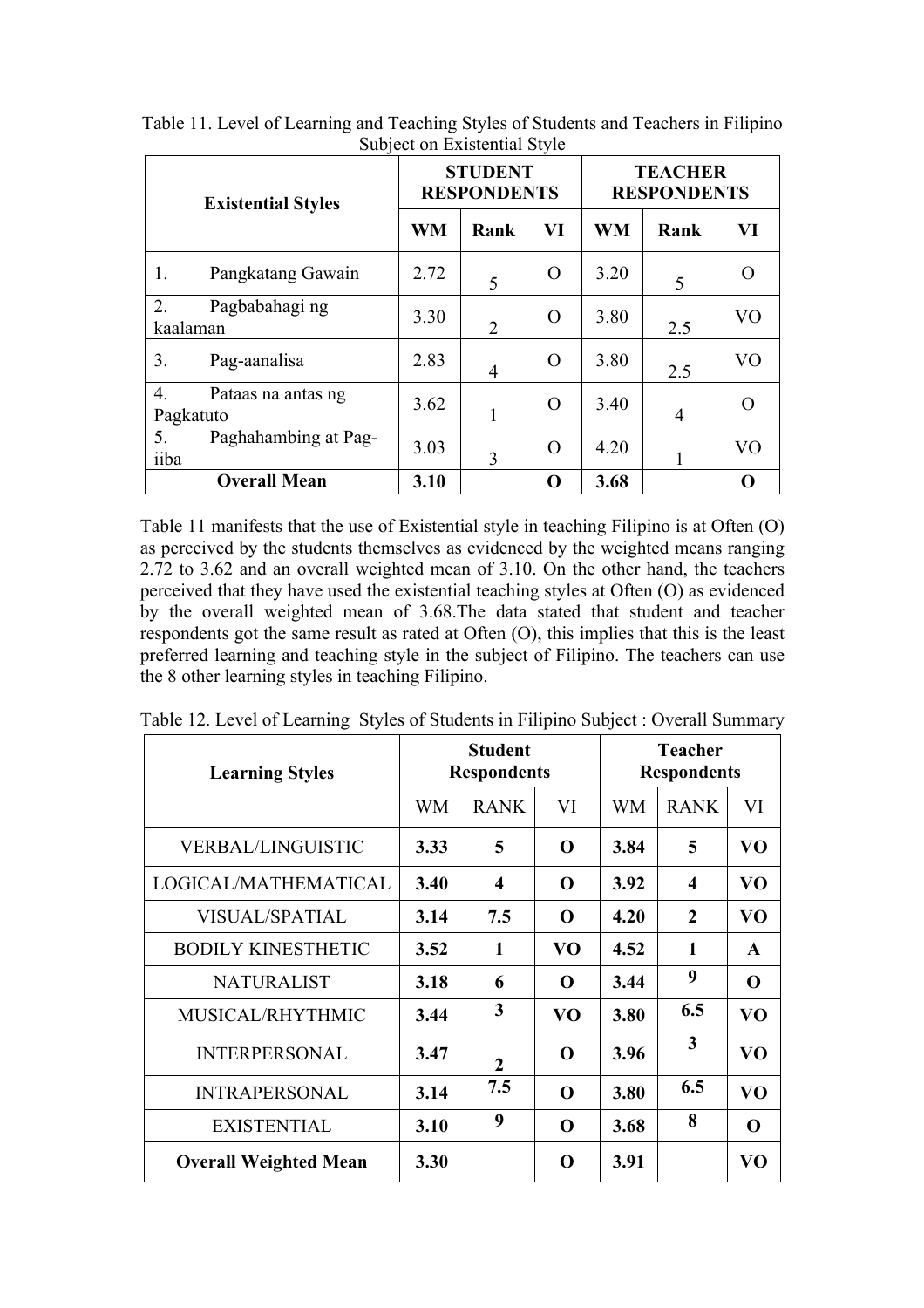| <b>Existential Styles</b>                      |           | <b>STUDENT</b><br><b>RESPONDENTS</b> |    | <b>TEACHER</b><br><b>RESPONDENTS</b> |                |                |  |
|------------------------------------------------|-----------|--------------------------------------|----|--------------------------------------|----------------|----------------|--|
|                                                | <b>WM</b> | Rank                                 | VI | <b>WM</b>                            | Rank           | VI             |  |
| Pangkatang Gawain<br>1.                        | 2.72      | 5                                    | O  | 3.20                                 | 5              | $\bigcap$      |  |
| $\overline{2}$ .<br>Pagbabahagi ng<br>kaalaman | 3.30      | $\overline{2}$                       | O  | 3.80                                 | 2.5            | V <sub>O</sub> |  |
| 3.<br>Pag-aanalisa                             | 2.83      | $\overline{4}$                       | O  | 3.80                                 | 2.5            | V <sub>O</sub> |  |
| 4.<br>Pataas na antas ng<br>Pagkatuto          | 3.62      |                                      | O  | 3.40                                 | $\overline{4}$ | $\Omega$       |  |
| 5.<br>Paghahambing at Pag-<br>iiba             | 3.03      | 3                                    | O  | 4.20                                 |                | V <sub>O</sub> |  |
| <b>Overall Mean</b>                            | 3.10      |                                      | O  | 3.68                                 |                | 0              |  |

Table 11. Level of Learning and Teaching Styles of Students and Teachers in Filipino Subject on Existential Style

Table 11 manifests that the use of Existential style in teaching Filipino is at Often (O) as perceived by the students themselves as evidenced by the weighted means ranging 2.72 to 3.62 and an overall weighted mean of 3.10. On the other hand, the teachers perceived that they have used the existential teaching styles at Often (O) as evidenced by the overall weighted mean of 3.68.The data stated that student and teacher respondents got the same result as rated at Often (O), this implies that this is the least preferred learning and teaching style in the subject of Filipino. The teachers can use the 8 other learning styles in teaching Filipino.

| <b>Learning Styles</b>       |           | <b>Student</b><br><b>Respondents</b> |             | <b>Teacher</b><br><b>Respondents</b> |                  |                |  |
|------------------------------|-----------|--------------------------------------|-------------|--------------------------------------|------------------|----------------|--|
|                              | <b>WM</b> | <b>RANK</b>                          | VI          | <b>WM</b>                            | <b>RANK</b>      | VI             |  |
| <b>VERBAL/LINGUISTIC</b>     | 3.33      | 5                                    | O           | 3.84                                 | 5                | VO             |  |
| LOGICAL/MATHEMATICAL         | 3.40      | 4                                    | O           | 3.92                                 | $\boldsymbol{4}$ | VO             |  |
| <b>VISUAL/SPATIAL</b>        | 3.14      | 7.5                                  | O           | 4.20                                 | $\mathbf{2}$     | VO             |  |
| <b>BODILY KINESTHETIC</b>    | 3.52      | 1                                    | VO          | 4.52                                 | 1                | $\mathbf{A}$   |  |
| <b>NATURALIST</b>            | 3.18      | 6                                    | O           | 3.44                                 | 9                | $\mathbf 0$    |  |
| MUSICAL/RHYTHMIC             | 3.44      | 3                                    | VO          | 3.80                                 | 6.5              | V <sub>O</sub> |  |
| <b>INTERPERSONAL</b>         | 3.47      | $\overline{2}$                       | O           | 3.96                                 | 3                | V <sub>O</sub> |  |
| <b>INTRAPERSONAL</b>         | 3.14      | 7.5                                  | O           | 3.80                                 | 6.5              | V <sub>O</sub> |  |
| <b>EXISTENTIAL</b>           | 3.10      | 9                                    | $\mathbf 0$ | 3.68                                 | 8                | $\mathbf 0$    |  |
| <b>Overall Weighted Mean</b> | 3.30      |                                      | O           | 3.91                                 |                  | VO             |  |

Table 12. Level of Learning Styles of Students in Filipino Subject : Overall Summary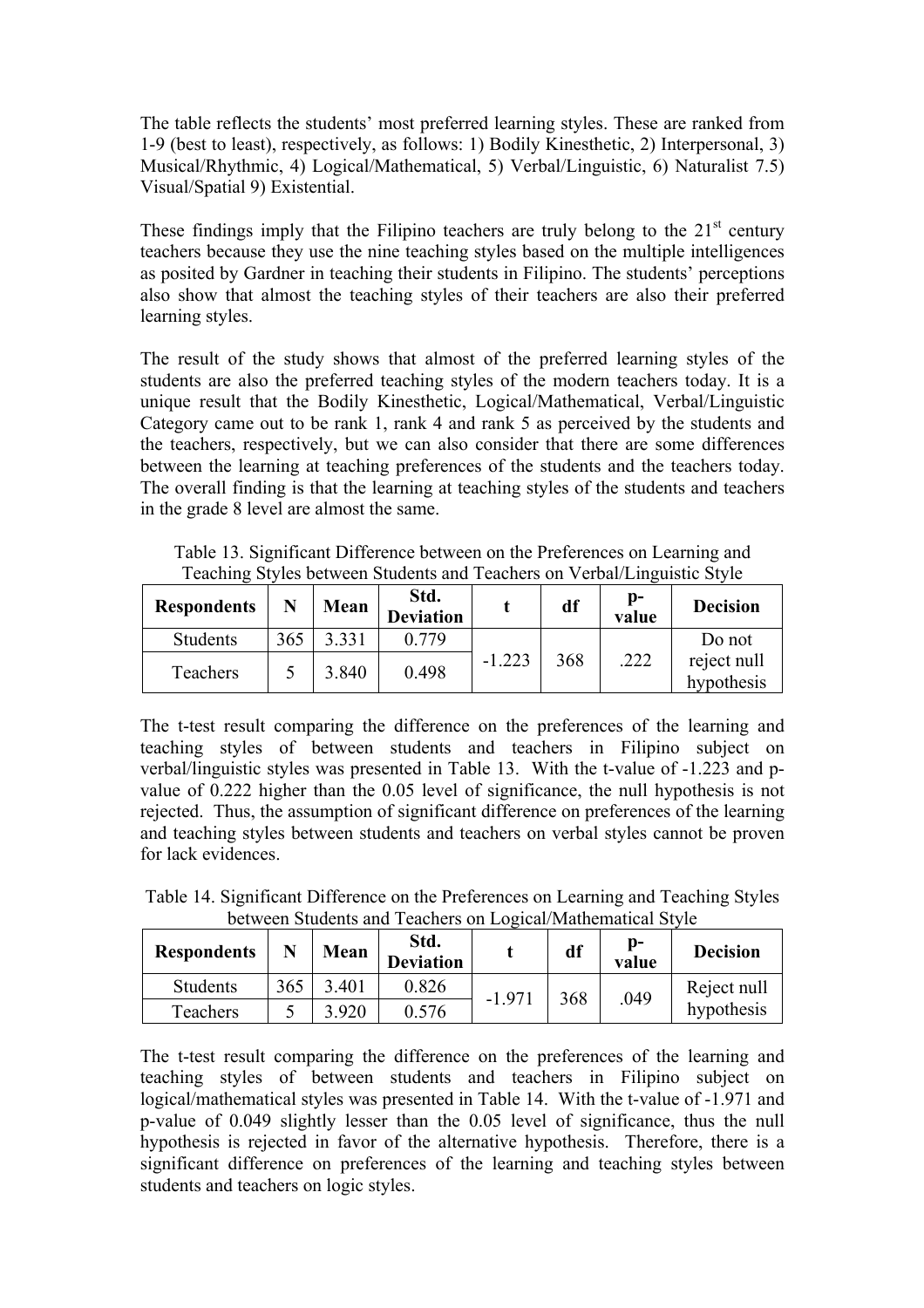The table reflects the students' most preferred learning styles. These are ranked from 1-9 (best to least), respectively, as follows: 1) Bodily Kinesthetic, 2) Interpersonal, 3) Musical/Rhythmic, 4) Logical/Mathematical, 5) Verbal/Linguistic, 6) Naturalist 7.5) Visual/Spatial 9) Existential.

These findings imply that the Filipino teachers are truly belong to the  $21<sup>st</sup>$  century teachers because they use the nine teaching styles based on the multiple intelligences as posited by Gardner in teaching their students in Filipino. The students' perceptions also show that almost the teaching styles of their teachers are also their preferred learning styles.

The result of the study shows that almost of the preferred learning styles of the students are also the preferred teaching styles of the modern teachers today. It is a unique result that the Bodily Kinesthetic, Logical/Mathematical, Verbal/Linguistic Category came out to be rank 1, rank 4 and rank 5 as perceived by the students and the teachers, respectively, but we can also consider that there are some differences between the learning at teaching preferences of the students and the teachers today. The overall finding is that the learning at teaching styles of the students and teachers in the grade 8 level are almost the same.

| <b>Respondents</b> |     | Mean  | Std.<br><b>Deviation</b> |          | df  | D-<br>value | <b>Decision</b>           |
|--------------------|-----|-------|--------------------------|----------|-----|-------------|---------------------------|
| <b>Students</b>    | 365 | 3.331 | 0.779                    |          |     |             | Do not                    |
| Teachers           |     | 3.840 | 0.498                    | $-1.223$ | 368 | .222        | reject null<br>hypothesis |

Table 13. Significant Difference between on the Preferences on Learning and Teaching Styles between Students and Teachers on Verbal/Linguistic Style

The t-test result comparing the difference on the preferences of the learning and teaching styles of between students and teachers in Filipino subject on verbal/linguistic styles was presented in Table 13. With the t-value of -1.223 and pvalue of 0.222 higher than the 0.05 level of significance, the null hypothesis is not rejected. Thus, the assumption of significant difference on preferences of the learning and teaching styles between students and teachers on verbal styles cannot be proven for lack evidences.

Table 14. Significant Difference on the Preferences on Learning and Teaching Styles between Students and Teachers on Logical/Mathematical Style

| <b>Respondents</b> |     | Mean  | Std.<br><b>Deviation</b> |          | df  | Ŋ-<br>value | <b>Decision</b> |
|--------------------|-----|-------|--------------------------|----------|-----|-------------|-----------------|
| <b>Students</b>    | 365 | 3.401 | 0.826                    | $-1.971$ | 368 | .049        | Reject null     |
| Teachers           |     | 3.920 | 0.576                    |          |     |             | hypothesis      |

The t-test result comparing the difference on the preferences of the learning and teaching styles of between students and teachers in Filipino subject on logical/mathematical styles was presented in Table 14. With the t-value of -1.971 and p-value of 0.049 slightly lesser than the 0.05 level of significance, thus the null hypothesis is rejected in favor of the alternative hypothesis. Therefore, there is a significant difference on preferences of the learning and teaching styles between students and teachers on logic styles.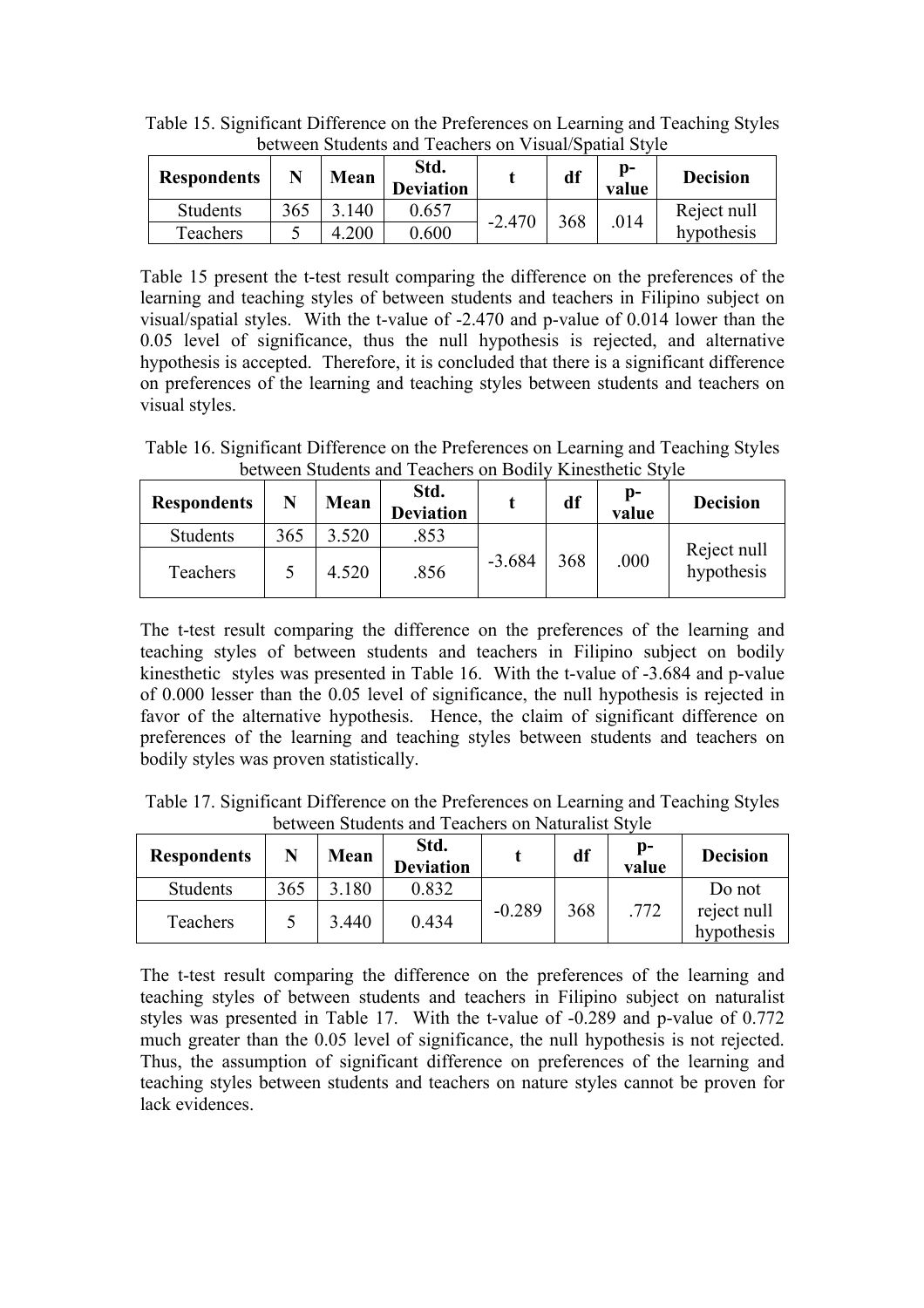| <b>Respondents</b> |     | Mean | Std.<br><b>Deviation</b> |          | df  | D-<br>value | <b>Decision</b> |             |
|--------------------|-----|------|--------------------------|----------|-----|-------------|-----------------|-------------|
| <b>Students</b>    | 365 | 140  | 0.657                    | $-2.470$ |     |             | .014            | Reject null |
| Teachers           |     | .200 | 0.600                    |          | 368 |             | hypothesis      |             |

Table 15. Significant Difference on the Preferences on Learning and Teaching Styles between Students and Teachers on Visual/Spatial Style

Table 15 present the t-test result comparing the difference on the preferences of the learning and teaching styles of between students and teachers in Filipino subject on visual/spatial styles. With the t-value of -2.470 and p-value of 0.014 lower than the 0.05 level of significance, thus the null hypothesis is rejected, and alternative hypothesis is accepted. Therefore, it is concluded that there is a significant difference on preferences of the learning and teaching styles between students and teachers on visual styles.

Table 16. Significant Difference on the Preferences on Learning and Teaching Styles between Students and Teachers on Bodily Kinesthetic Style

| <b>Respondents</b> | N   | Mean  | Std.<br><b>Deviation</b> |          | df  | D-<br>value | <b>Decision</b>           |
|--------------------|-----|-------|--------------------------|----------|-----|-------------|---------------------------|
| Students           | 365 | 3.520 | 853                      |          |     |             |                           |
| Teachers           |     | 4.520 | .856                     | $-3.684$ | 368 | .000        | Reject null<br>hypothesis |

The t-test result comparing the difference on the preferences of the learning and teaching styles of between students and teachers in Filipino subject on bodily kinesthetic styles was presented in Table 16. With the t-value of -3.684 and p-value of 0.000 lesser than the 0.05 level of significance, the null hypothesis is rejected in favor of the alternative hypothesis. Hence, the claim of significant difference on preferences of the learning and teaching styles between students and teachers on bodily styles was proven statistically.

Table 17. Significant Difference on the Preferences on Learning and Teaching Styles between Students and Teachers on Naturalist Style

| <b>Respondents</b> | N   | Mean  | Std.<br><b>Deviation</b> |          | df  | p-<br>value | <b>Decision</b>           |
|--------------------|-----|-------|--------------------------|----------|-----|-------------|---------------------------|
| <b>Students</b>    | 365 | 180   | 0.832                    |          |     |             | Do not                    |
| Teachers           |     | 3.440 | 0.434                    | $-0.289$ | 368 | .772        | reject null<br>hypothesis |

The t-test result comparing the difference on the preferences of the learning and teaching styles of between students and teachers in Filipino subject on naturalist styles was presented in Table 17. With the t-value of -0.289 and p-value of 0.772 much greater than the 0.05 level of significance, the null hypothesis is not rejected. Thus, the assumption of significant difference on preferences of the learning and teaching styles between students and teachers on nature styles cannot be proven for lack evidences.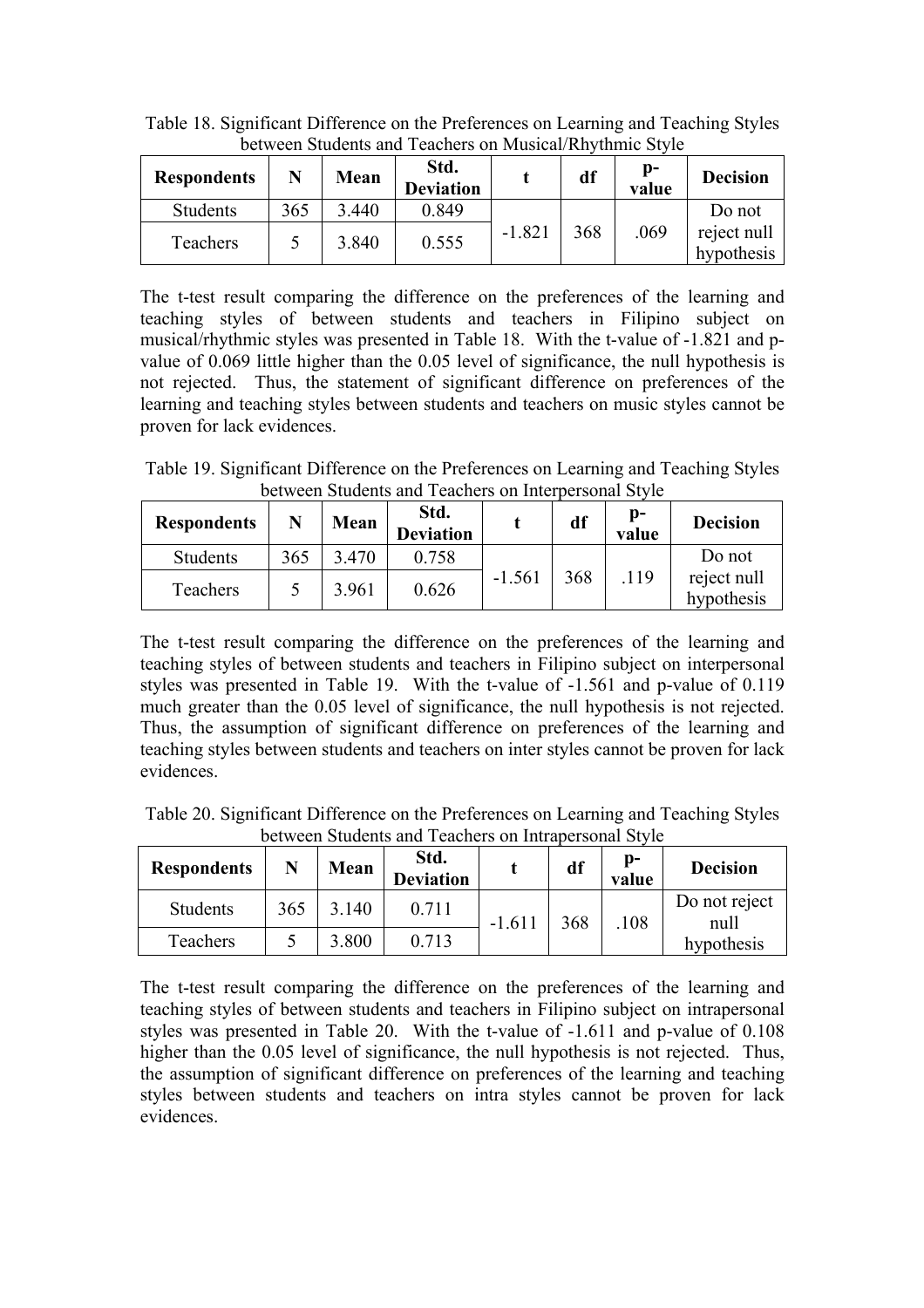| <b>Respondents</b> |     | Mean  | Std.<br><b>Deviation</b> |          | df  | p-<br>value | <b>Decision</b>           |
|--------------------|-----|-------|--------------------------|----------|-----|-------------|---------------------------|
| Students           | 365 | 3.440 | 0.849                    |          |     |             | Do not                    |
| Teachers           |     | 3.840 | 0.555                    | $-1.821$ | 368 | .069        | reject null<br>hypothesis |

Table 18. Significant Difference on the Preferences on Learning and Teaching Styles between Students and Teachers on Musical/Rhythmic Style

The t-test result comparing the difference on the preferences of the learning and teaching styles of between students and teachers in Filipino subject on musical/rhythmic styles was presented in Table 18. With the t-value of -1.821 and pvalue of 0.069 little higher than the 0.05 level of significance, the null hypothesis is not rejected. Thus, the statement of significant difference on preferences of the learning and teaching styles between students and teachers on music styles cannot be proven for lack evidences.

Table 19. Significant Difference on the Preferences on Learning and Teaching Styles between Students and Teachers on Interpersonal Style

| <b>Respondents</b> |     | Mean  | Std.<br><b>Deviation</b> |          | df  | p-<br>value | <b>Decision</b>           |
|--------------------|-----|-------|--------------------------|----------|-----|-------------|---------------------------|
| <b>Students</b>    | 365 | 3.470 | 0.758                    |          |     |             | Do not                    |
| Teachers           |     | 3.961 | 0.626                    | $-1.561$ | 368 | .119        | reject null<br>hypothesis |

The t-test result comparing the difference on the preferences of the learning and teaching styles of between students and teachers in Filipino subject on interpersonal styles was presented in Table 19. With the t-value of -1.561 and p-value of 0.119 much greater than the 0.05 level of significance, the null hypothesis is not rejected. Thus, the assumption of significant difference on preferences of the learning and teaching styles between students and teachers on inter styles cannot be proven for lack evidences.

Table 20. Significant Difference on the Preferences on Learning and Teaching Styles between Students and Teachers on Intrapersonal Style

| <b>Respondents</b> |     | Mean  | Std.<br><b>Deviation</b> |          | df  | D-<br>value | <b>Decision</b>       |
|--------------------|-----|-------|--------------------------|----------|-----|-------------|-----------------------|
| <b>Students</b>    | 365 | 3.140 | 0.711                    | $-1.611$ | 368 | .108        | Do not reject<br>null |
| Teachers           |     | 3.800 | 0.713                    |          |     |             | hypothesis            |

The t-test result comparing the difference on the preferences of the learning and teaching styles of between students and teachers in Filipino subject on intrapersonal styles was presented in Table 20. With the t-value of -1.611 and p-value of 0.108 higher than the 0.05 level of significance, the null hypothesis is not rejected. Thus, the assumption of significant difference on preferences of the learning and teaching styles between students and teachers on intra styles cannot be proven for lack evidences.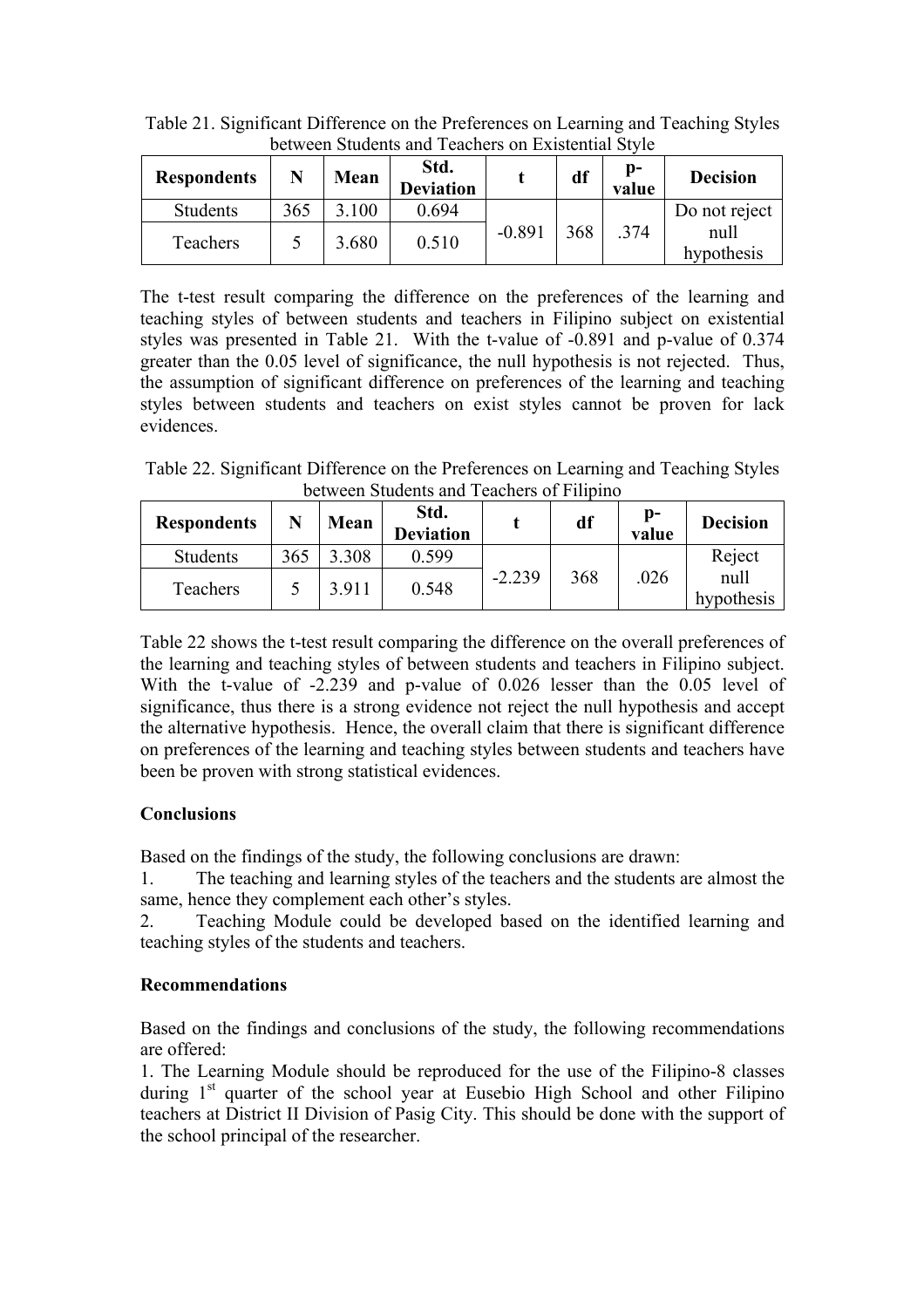| <b>Respondents</b> | N   | Mean  | Std.<br><b>Deviation</b> |          | df  | Ŋ-<br>value | <b>Decision</b>                     |  |  |  |  |  |
|--------------------|-----|-------|--------------------------|----------|-----|-------------|-------------------------------------|--|--|--|--|--|
| <b>Students</b>    | 365 | 3.100 | 0.694                    | $-0.891$ |     | .374        | Do not reject<br>null<br>hypothesis |  |  |  |  |  |
| Teachers           |     | 3.680 | 0.510                    |          | 368 |             |                                     |  |  |  |  |  |

Table 21. Significant Difference on the Preferences on Learning and Teaching Styles between Students and Teachers on Existential Style

The t-test result comparing the difference on the preferences of the learning and teaching styles of between students and teachers in Filipino subject on existential styles was presented in Table 21. With the t-value of -0.891 and p-value of 0.374 greater than the 0.05 level of significance, the null hypothesis is not rejected. Thus, the assumption of significant difference on preferences of the learning and teaching styles between students and teachers on exist styles cannot be proven for lack evidences.

Table 22. Significant Difference on the Preferences on Learning and Teaching Styles between Students and Teachers of Filipino

| <b>Respondents</b> | N   | Mean  | Std.<br><b>Deviation</b> |          | df  | p-<br>value | <b>Decision</b>    |  |  |  |  |
|--------------------|-----|-------|--------------------------|----------|-----|-------------|--------------------|--|--|--|--|
| <b>Students</b>    | 365 | .308  | 0.599                    | $-2.239$ |     |             | Reject             |  |  |  |  |
| Teachers           |     | 3.911 | 0.548                    |          | 368 | .026        | null<br>hypothesis |  |  |  |  |

Table 22 shows the t-test result comparing the difference on the overall preferences of the learning and teaching styles of between students and teachers in Filipino subject. With the t-value of -2.239 and p-value of 0.026 lesser than the 0.05 level of significance, thus there is a strong evidence not reject the null hypothesis and accept the alternative hypothesis. Hence, the overall claim that there is significant difference on preferences of the learning and teaching styles between students and teachers have been be proven with strong statistical evidences.

## **Conclusions**

Based on the findings of the study, the following conclusions are drawn:

1. The teaching and learning styles of the teachers and the students are almost the same, hence they complement each other's styles.

2. Teaching Module could be developed based on the identified learning and teaching styles of the students and teachers.

## **Recommendations**

Based on the findings and conclusions of the study, the following recommendations are offered:

1. The Learning Module should be reproduced for the use of the Filipino-8 classes during  $1<sup>st</sup>$  quarter of the school year at Eusebio High School and other Filipino teachers at District II Division of Pasig City. This should be done with the support of the school principal of the researcher.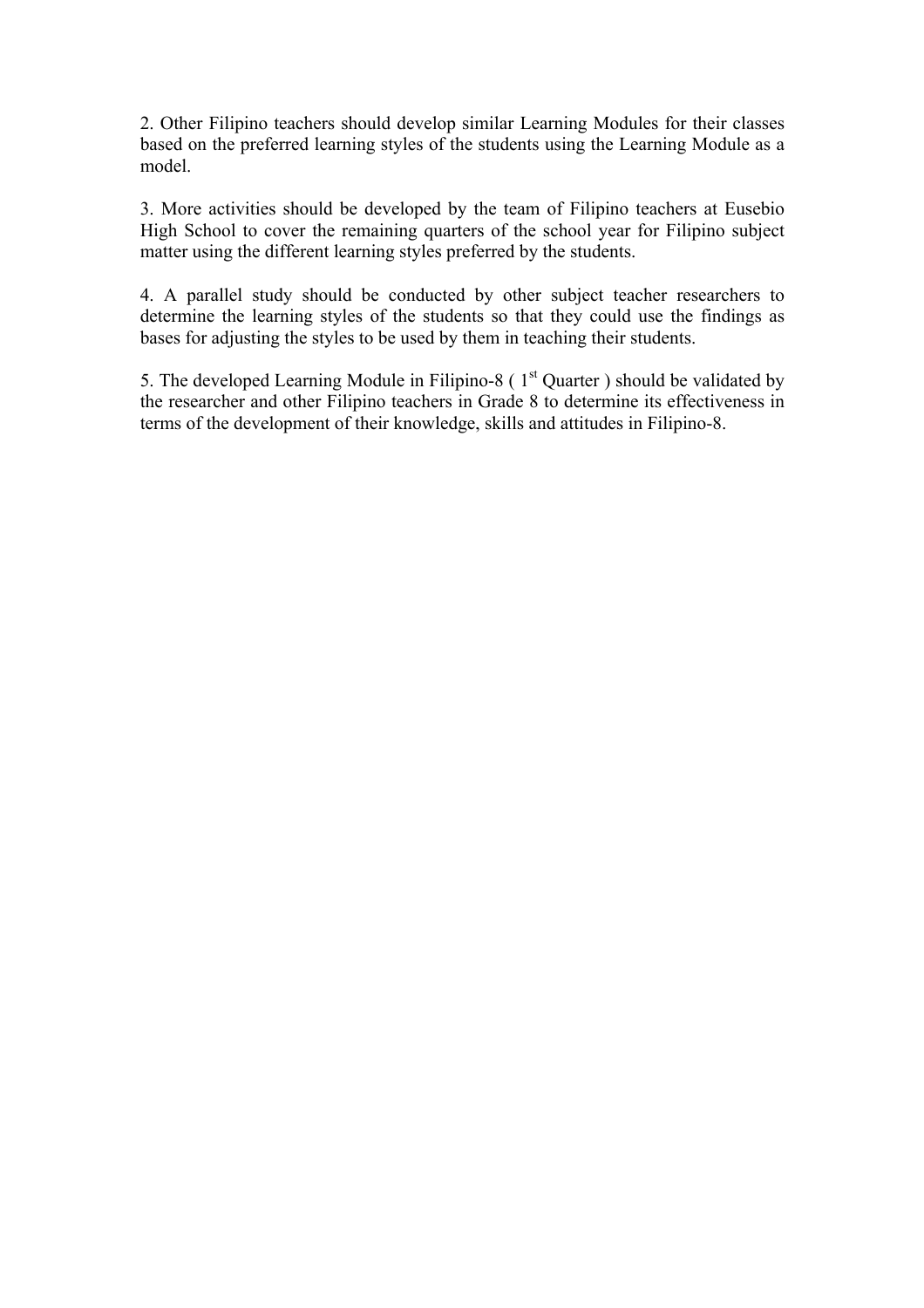2. Other Filipino teachers should develop similar Learning Modules for their classes based on the preferred learning styles of the students using the Learning Module as a model.

3. More activities should be developed by the team of Filipino teachers at Eusebio High School to cover the remaining quarters of the school year for Filipino subject matter using the different learning styles preferred by the students.

4. A parallel study should be conducted by other subject teacher researchers to determine the learning styles of the students so that they could use the findings as bases for adjusting the styles to be used by them in teaching their students.

5. The developed Learning Module in Filipino-8 ( $1<sup>st</sup>$  Quarter ) should be validated by the researcher and other Filipino teachers in Grade 8 to determine its effectiveness in terms of the development of their knowledge, skills and attitudes in Filipino-8.